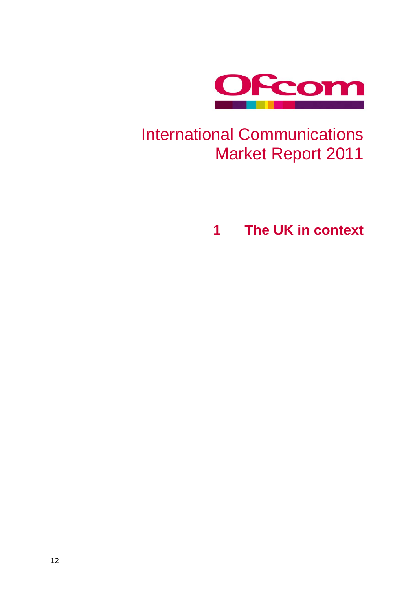

# International Communications Market Report 2011

**1 The UK in context**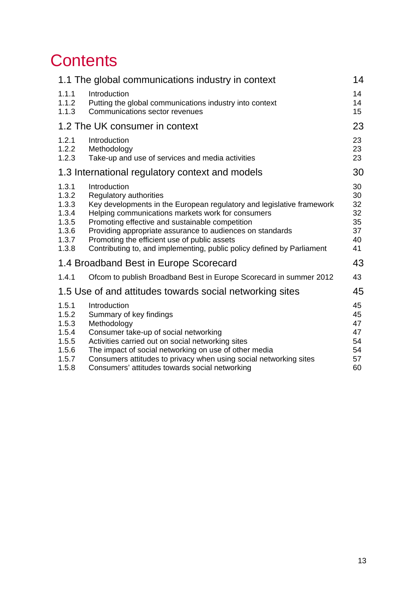# **Contents**

|                                                                      | 1.1 The global communications industry in context                                                                                                                                                                                                                                                                                                                                                              | 14                                           |
|----------------------------------------------------------------------|----------------------------------------------------------------------------------------------------------------------------------------------------------------------------------------------------------------------------------------------------------------------------------------------------------------------------------------------------------------------------------------------------------------|----------------------------------------------|
| 1.1.1<br>1.1.2<br>1.1.3                                              | Introduction<br>Putting the global communications industry into context<br>Communications sector revenues                                                                                                                                                                                                                                                                                                      | 14<br>14<br>15 <sub>1</sub>                  |
|                                                                      | 1.2 The UK consumer in context                                                                                                                                                                                                                                                                                                                                                                                 | 23                                           |
| 1.2.1<br>1.2.2<br>1.2.3                                              | Introduction<br>Methodology<br>Take-up and use of services and media activities                                                                                                                                                                                                                                                                                                                                | 23<br>23<br>23                               |
|                                                                      | 1.3 International regulatory context and models                                                                                                                                                                                                                                                                                                                                                                | 30                                           |
| 1.3.1<br>1.3.2<br>1.3.3<br>1.3.4<br>1.3.5<br>1.3.6<br>1.3.7<br>1.3.8 | Introduction<br>Regulatory authorities<br>Key developments in the European regulatory and legislative framework<br>Helping communications markets work for consumers<br>Promoting effective and sustainable competition<br>Providing appropriate assurance to audiences on standards<br>Promoting the efficient use of public assets<br>Contributing to, and implementing, public policy defined by Parliament | 30<br>30<br>32<br>32<br>35<br>37<br>40<br>41 |
|                                                                      | 1.4 Broadband Best in Europe Scorecard                                                                                                                                                                                                                                                                                                                                                                         | 43                                           |
| 1.4.1                                                                | Ofcom to publish Broadband Best in Europe Scorecard in summer 2012                                                                                                                                                                                                                                                                                                                                             | 43                                           |
|                                                                      | 1.5 Use of and attitudes towards social networking sites                                                                                                                                                                                                                                                                                                                                                       | 45                                           |
| 1.5.1<br>1.5.2<br>1.5.3<br>1.5.4<br>1.5.5<br>1.5.6<br>1.5.7<br>1.5.8 | Introduction<br>Summary of key findings<br>Methodology<br>Consumer take-up of social networking<br>Activities carried out on social networking sites<br>The impact of social networking on use of other media<br>Consumers attitudes to privacy when using social networking sites<br>Consumers' attitudes towards social networking                                                                           | 45<br>45<br>47<br>47<br>54<br>54<br>57<br>60 |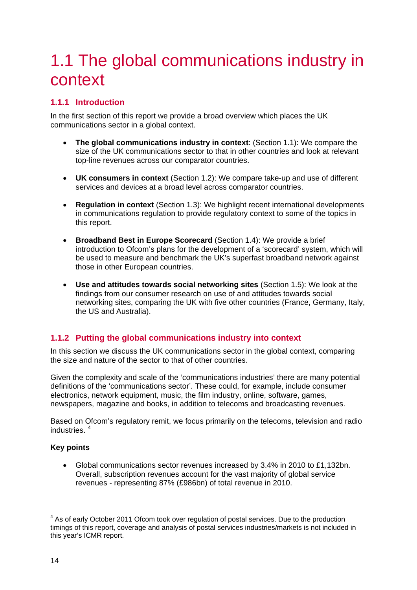# <span id="page-2-0"></span>1.1 The global communications industry in context

# <span id="page-2-1"></span>**1.1.1 Introduction**

In the first section of this report we provide a broad overview which places the UK communications sector in a global context.

- **The global communications industry in context**: (Section [1.1\)](#page-2-0): We compare the size of the UK communications sector to that in other countries and look at relevant top-line revenues across our comparator countries.
- **UK consumers in context** (Section [1.2\)](#page-11-0): We compare take-up and use of different services and devices at a broad level across comparator countries.
- **Regulation in context** (Section [1.3\)](#page-18-0): We highlight recent international developments in communications regulation to provide regulatory context to some of the topics in this report.
- **Broadband Best in Europe Scorecard** (Section [1.4\)](#page-31-0): We provide a brief introduction to Ofcom's plans for the development of a 'scorecard' system, which will be used to measure and benchmark the UK's superfast broadband network against those in other European countries.
- **Use and attitudes towards social networking sites** (Section [1.5\)](#page-33-0): We look at the findings from our consumer research on use of and attitudes towards social networking sites, comparing the UK with five other countries (France, Germany, Italy, the US and Australia).

# <span id="page-2-2"></span>**1.1.2 Putting the global communications industry into context**

In this section we discuss the UK communications sector in the global context, comparing the size and nature of the sector to that of other countries.

Given the complexity and scale of the 'communications industries' there are many potential definitions of the 'communications sector'. These could, for example, include consumer electronics, network equipment, music, the film industry, online, software, games, newspapers, magazine and books, in addition to telecoms and broadcasting revenues.

Based on Ofcom's regulatory remit, we focus primarily on the telecoms, television and radio industries. [4](#page-2-3)

## **Key points**

• Global communications sector revenues increased by 3.4% in 2010 to £1,132bn. Overall, subscription revenues account for the vast majority of global service revenues - representing 87% (£986bn) of total revenue in 2010.

<span id="page-2-3"></span><sup>&</sup>lt;sup>4</sup> As of early October 2011 Ofcom took over regulation of postal services. Due to the production timings of this report, coverage and analysis of postal services industries/markets is not included in this year's ICMR report.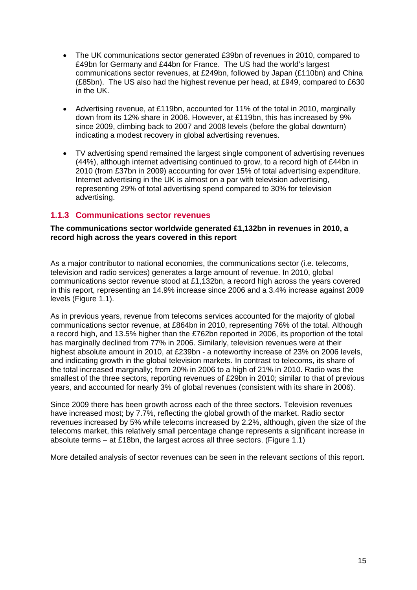- The UK communications sector generated £39bn of revenues in 2010, compared to £49bn for Germany and £44bn for France. The US had the world's largest communications sector revenues, at £249bn, followed by Japan (£110bn) and China (£85bn). The US also had the highest revenue per head, at £949, compared to £630 in the UK.
- Advertising revenue, at £119bn, accounted for 11% of the total in 2010, marginally down from its 12% share in 2006. However, at £119bn, this has increased by 9% since 2009, climbing back to 2007 and 2008 levels (before the global downturn) indicating a modest recovery in global advertising revenues.
- TV advertising spend remained the largest single component of advertising revenues (44%), although internet advertising continued to grow, to a record high of £44bn in 2010 (from £37bn in 2009) accounting for over 15% of total advertising expenditure. Internet advertising in the UK is almost on a par with television advertising, representing 29% of total advertising spend compared to 30% for television advertising.

# <span id="page-3-0"></span>**1.1.3 Communications sector revenues**

## **The communications sector worldwide generated £1,132bn in revenues in 2010, a record high across the years covered in this report**

As a major contributor to national economies, the communications sector (i.e. telecoms, television and radio services) generates a large amount of revenue. In 2010, global communications sector revenue stood at £1,132bn, a record high across the years covered in this report, representing an 14.9% increase since 2006 and a 3.4% increase against 2009 levels [\(Figure 1.1\)](#page-4-0).

As in previous years, revenue from telecoms services accounted for the majority of global communications sector revenue, at £864bn in 2010, representing 76% of the total. Although a record high, and 13.5% higher than the £762bn reported in 2006, its proportion of the total has marginally declined from 77% in 2006. Similarly, television revenues were at their highest absolute amount in 2010, at £239bn - a noteworthy increase of 23% on 2006 levels, and indicating growth in the global television markets. In contrast to telecoms, its share of the total increased marginally; from 20% in 2006 to a high of 21% in 2010. Radio was the smallest of the three sectors, reporting revenues of £29bn in 2010; similar to that of previous years, and accounted for nearly 3% of global revenues (consistent with its share in 2006).

Since 2009 there has been growth across each of the three sectors. Television revenues have increased most; by 7.7%, reflecting the global growth of the market. Radio sector revenues increased by 5% while telecoms increased by 2.2%, although, given the size of the telecoms market, this relatively small percentage change represents a significant increase in absolute terms – at £18bn, the largest across all three sectors. [\(Figure 1.1\)](#page-4-0)

More detailed analysis of sector revenues can be seen in the relevant sections of this report.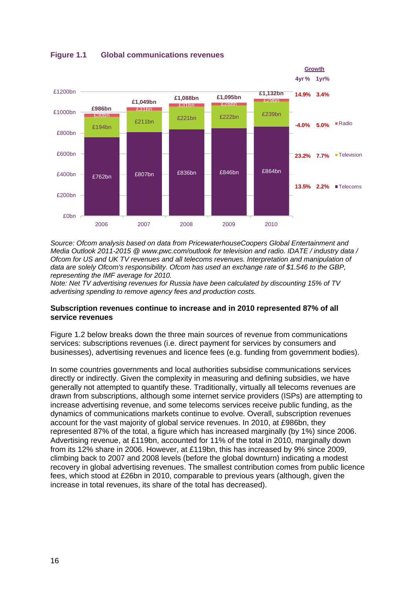

## <span id="page-4-0"></span>**Figure 1.1 Global communications revenues**

*Source: Ofcom analysis based on data from PricewaterhouseCoopers Global Entertainment and Media Outlook 2011-2015 @ www.pwc.com/outlook for television and radio. IDATE / industry data / Ofcom for US and UK TV revenues and all telecoms revenues. Interpretation and manipulation of data are solely Ofcom's responsibility. Ofcom has used an exchange rate of \$1.546 to the GBP, representing the IMF average for 2010.* 

*Note: Net TV advertising revenues for Russia have been calculated by discounting 15% of TV advertising spending to remove agency fees and production costs.* 

#### **Subscription revenues continue to increase and in 2010 represented 87% of all service revenues**

[Figure 1.2](#page-5-0) below breaks down the three main sources of revenue from communications services: subscriptions revenues (i.e. direct payment for services by consumers and businesses), advertising revenues and licence fees (e.g. funding from government bodies).

In some countries governments and local authorities subsidise communications services directly or indirectly. Given the complexity in measuring and defining subsidies, we have generally not attempted to quantify these. Traditionally, virtually all telecoms revenues are drawn from subscriptions, although some internet service providers (ISPs) are attempting to increase advertising revenue, and some telecoms services receive public funding, as the dynamics of communications markets continue to evolve. Overall, subscription revenues account for the vast majority of global service revenues. In 2010, at £986bn, they represented 87% of the total, a figure which has increased marginally (by 1%) since 2006. Advertising revenue, at £119bn, accounted for 11% of the total in 2010, marginally down from its 12% share in 2006. However, at £119bn, this has increased by 9% since 2009, climbing back to 2007 and 2008 levels (before the global downturn) indicating a modest recovery in global advertising revenues. The smallest contribution comes from public licence fees, which stood at £26bn in 2010, comparable to previous years (although, given the increase in total revenues, its share of the total has decreased).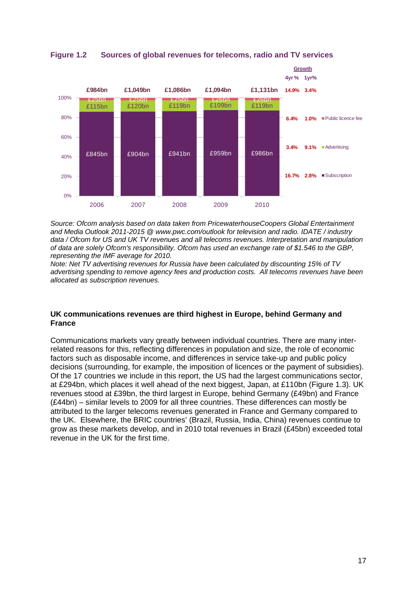

<span id="page-5-0"></span>**Figure 1.2 Sources of global revenues for telecoms, radio and TV services**

*Source: Ofcom analysis based on data taken from PricewaterhouseCoopers Global Entertainment and Media Outlook 2011-2015 @ www.pwc.com/outlook for television and radio. IDATE / industry data / Ofcom for US and UK TV revenues and all telecoms revenues. Interpretation and manipulation of data are solely Ofcom's responsibility. Ofcom has used an exchange rate of \$1.546 to the GBP, representing the IMF average for 2010.* 

*Note: Net TV advertising revenues for Russia have been calculated by discounting 15% of TV advertising spending to remove agency fees and production costs. All telecoms revenues have been allocated as subscription revenues.* 

## **UK communications revenues are third highest in Europe, behind Germany and France**

Communications markets vary greatly between individual countries. There are many interrelated reasons for this, reflecting differences in population and size, the role of economic factors such as disposable income, and differences in service take-up and public policy decisions (surrounding, for example, the imposition of licences or the payment of subsidies). Of the 17 countries we include in this report, the US had the largest communications sector, at £294bn, which places it well ahead of the next biggest, Japan, at £110bn [\(Figure 1.3\)](#page-6-0). UK revenues stood at £39bn, the third largest in Europe, behind Germany (£49bn) and France (£44bn) – similar levels to 2009 for all three countries. These differences can mostly be attributed to the larger telecoms revenues generated in France and Germany compared to the UK. Elsewhere, the BRIC countries' (Brazil, Russia, India, China) revenues continue to grow as these markets develop, and in 2010 total revenues in Brazil (£45bn) exceeded total revenue in the UK for the first time.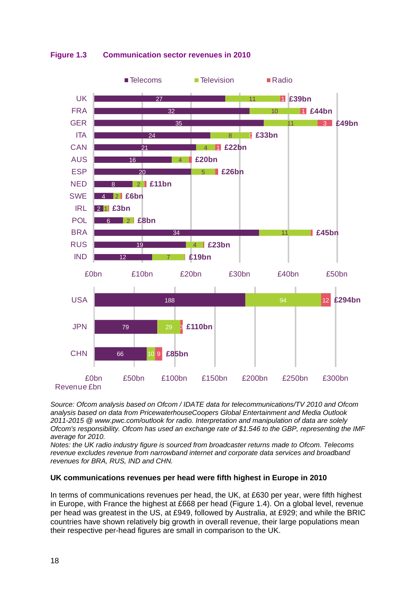<span id="page-6-0"></span>

# **Figure 1.3 Communication sector revenues in 2010**

*Source: Ofcom analysis based on Ofcom / IDATE data for telecommunications/TV 2010 and Ofcom analysis based on data from PricewaterhouseCoopers Global Entertainment and Media Outlook 2011-2015 @ www.pwc.com/outlook for radio. Interpretation and manipulation of data are solely Ofcom's responsibility. Ofcom has used an exchange rate of \$1.546 to the GBP, representing the IMF average for 2010.* 

*Notes: the UK radio industry figure is sourced from broadcaster returns made to Ofcom. Telecoms revenue excludes revenue from narrowband internet and corporate data services and broadband revenues for BRA, RUS, IND and CHN.* 

## **UK communications revenues per head were fifth highest in Europe in 2010**

In terms of communications revenues per head, the UK, at £630 per year, were fifth highest in Europe, with France the highest at £668 per head [\(Figure 1.4\)](#page-7-0). On a global level, revenue per head was greatest in the US, at £949, followed by Australia, at £929; and while the BRIC countries have shown relatively big growth in overall revenue, their large populations mean their respective per-head figures are small in comparison to the UK.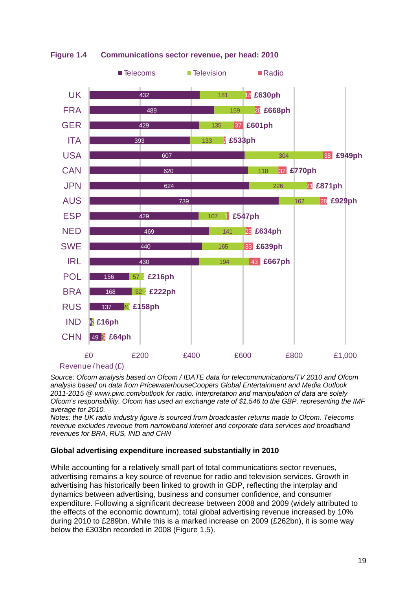

<span id="page-7-0"></span>**Figure 1.4 Communications sector revenue, per head: 2010**

*Source: Ofcom analysis based on Ofcom / IDATE data for telecommunications/TV 2010 and Ofcom analysis based on data from PricewaterhouseCoopers Global Entertainment and Media Outlook 2011-2015 @ www.pwc.com/outlook for radio. Interpretation and manipulation of data are solely* 

*Ofcom's responsibility. Ofcom has used an exchange rate of \$1.546 to the GBP, representing the IMF average for 2010.* 

*Notes: the UK radio industry figure is sourced from broadcaster returns made to Ofcom. Telecoms revenue excludes revenue from narrowband internet and corporate data services and broadband revenues for BRA, RUS, IND and CHN*

## **Global advertising expenditure increased substantially in 2010**

While accounting for a relatively small part of total communications sector revenues, advertising remains a key source of revenue for radio and television services. Growth in advertising has historically been linked to growth in GDP, reflecting the interplay and dynamics between advertising, business and consumer confidence, and consumer expenditure. Following a significant decrease between 2008 and 2009 (widely attributed to the effects of the economic downturn), total global advertising revenue increased by 10% during 2010 to £289bn. While this is a marked increase on 2009 (£262bn), it is some way below the £303bn recorded in 2008 [\(Figure 1.5\)](#page-8-0).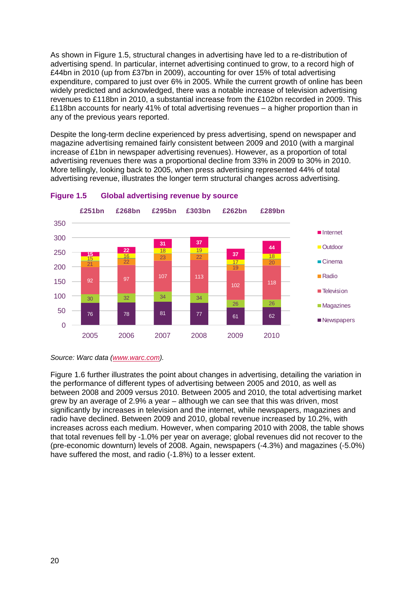As shown in [Figure 1.5,](#page-8-0) structural changes in advertising have led to a re-distribution of advertising spend. In particular, internet advertising continued to grow, to a record high of £44bn in 2010 (up from £37bn in 2009), accounting for over 15% of total advertising expenditure, compared to just over 6% in 2005. While the current growth of online has been widely predicted and acknowledged, there was a notable increase of television advertising revenues to £118bn in 2010, a substantial increase from the £102bn recorded in 2009. This £118bn accounts for nearly 41% of total advertising revenues – a higher proportion than in any of the previous years reported.

Despite the long-term decline experienced by press advertising, spend on newspaper and magazine advertising remained fairly consistent between 2009 and 2010 (with a marginal increase of £1bn in newspaper advertising revenues). However, as a proportion of total advertising revenues there was a proportional decline from 33% in 2009 to 30% in 2010. More tellingly, looking back to 2005, when press advertising represented 44% of total advertising revenue, illustrates the longer term structural changes across advertising.



#### <span id="page-8-0"></span>**Figure 1.5 Global advertising revenue by source**

*Source: Warc data [\(www.warc.com\)](http://www.warc.com/).* 

[Figure 1.6](#page-9-0) further illustrates the point about changes in advertising, detailing the variation in the performance of different types of advertising between 2005 and 2010, as well as between 2008 and 2009 versus 2010. Between 2005 and 2010, the total advertising market grew by an average of 2.9% a year – although we can see that this was driven, most significantly by increases in television and the internet, while newspapers, magazines and radio have declined. Between 2009 and 2010, global revenue increased by 10.2%, with increases across each medium. However, when comparing 2010 with 2008, the table shows that total revenues fell by -1.0% per year on average; global revenues did not recover to the (pre-economic downturn) levels of 2008. Again, newspapers (-4.3%) and magazines (-5.0%) have suffered the most, and radio (-1.8%) to a lesser extent.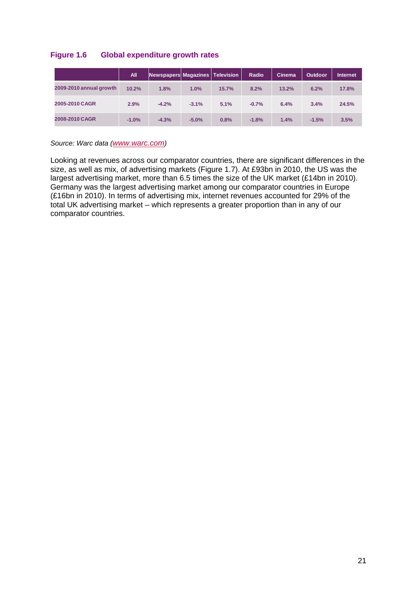## <span id="page-9-0"></span>**Figure 1.6 Global expenditure growth rates**

|                         | <b>All</b> | Newspapers Magazines   Television |         |       | Radio   | Cinema | <b>Outdoor</b> | <b>Internet</b> |
|-------------------------|------------|-----------------------------------|---------|-------|---------|--------|----------------|-----------------|
| 2009-2010 annual growth | 10.2%      | 1.8%                              | 1.0%    | 15.7% | 8.2%    | 13.2%  | 6.2%           | 17.8%           |
| 2005-2010 CAGR          | 2.9%       | $-4.2%$                           | $-3.1%$ | 5.1%  | $-0.7%$ | 6.4%   | 3.4%           | 24.5%           |
| 2008-2010 CAGR          | $-1.0%$    | $-4.3%$                           | $-5.0%$ | 0.8%  | $-1.8%$ | 1.4%   | $-1.5%$        | 3.5%            |

*Source: Warc data [\(www.warc.com\)](http://www.warc.com/)*

Looking at revenues across our comparator countries, there are significant differences in the size, as well as mix, of advertising markets [\(Figure 1.7\)](#page-10-0). At £93bn in 2010, the US was the largest advertising market, more than 6.5 times the size of the UK market (£14bn in 2010). Germany was the largest advertising market among our comparator countries in Europe (£16bn in 2010). In terms of advertising mix, internet revenues accounted for 29% of the total UK advertising market – which represents a greater proportion than in any of our comparator countries.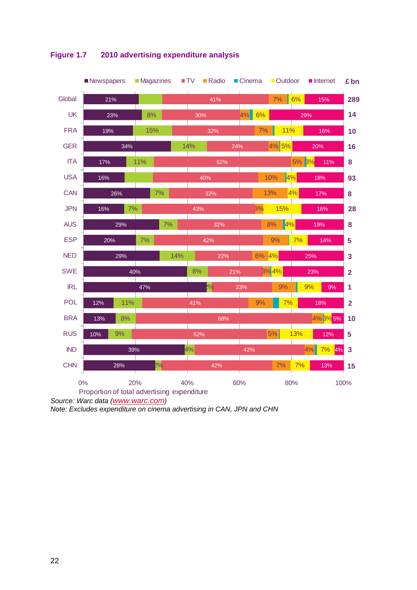

# <span id="page-10-0"></span>**Figure 1.7 2010 advertising expenditure analysis**

*Source: Warc data [\(www.warc.com\)](http://www.warc.com/)*

*Note: Excludes expenditure on cinema advertising in CAN, JPN and CHN*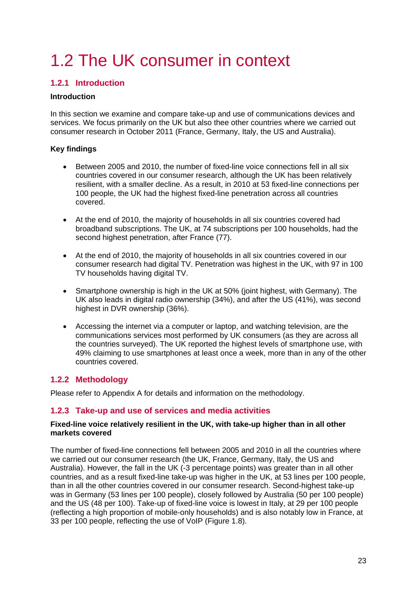# <span id="page-11-0"></span>1.2 The UK consumer in context

# <span id="page-11-1"></span>**1.2.1 Introduction**

## **Introduction**

In this section we examine and compare take-up and use of communications devices and services. We focus primarily on the UK but also thee other countries where we carried out consumer research in October 2011 (France, Germany, Italy, the US and Australia).

## **Key findings**

- Between 2005 and 2010, the number of fixed-line voice connections fell in all six countries covered in our consumer research, although the UK has been relatively resilient, with a smaller decline. As a result, in 2010 at 53 fixed-line connections per 100 people, the UK had the highest fixed-line penetration across all countries covered.
- At the end of 2010, the majority of households in all six countries covered had broadband subscriptions. The UK, at 74 subscriptions per 100 households, had the second highest penetration, after France (77).
- At the end of 2010, the majority of households in all six countries covered in our consumer research had digital TV. Penetration was highest in the UK, with 97 in 100 TV households having digital TV.
- Smartphone ownership is high in the UK at 50% (joint highest, with Germany). The UK also leads in digital radio ownership (34%), and after the US (41%), was second highest in DVR ownership (36%).
- Accessing the internet via a computer or laptop, and watching television, are the communications services most performed by UK consumers (as they are across all the countries surveyed). The UK reported the highest levels of smartphone use, with 49% claiming to use smartphones at least once a week, more than in any of the other countries covered.

# <span id="page-11-2"></span>**1.2.2 Methodology**

Please refer to Appendix A for details and information on the methodology.

# <span id="page-11-3"></span>**1.2.3 Take-up and use of services and media activities**

## **Fixed-line voice relatively resilient in the UK, with take-up higher than in all other markets covered**

The number of fixed-line connections fell between 2005 and 2010 in all the countries where we carried out our consumer research (the UK, France, Germany, Italy, the US and Australia). However, the fall in the UK (-3 percentage points) was greater than in all other countries, and as a result fixed-line take-up was higher in the UK, at 53 lines per 100 people, than in all the other countries covered in our consumer research. Second-highest take-up was in Germany (53 lines per 100 people), closely followed by Australia (50 per 100 people) and the US (48 per 100). Take-up of fixed-line voice is lowest in Italy, at 29 per 100 people (reflecting a high proportion of mobile-only households) and is also notably low in France, at 33 per 100 people, reflecting the use of VoIP [\(Figure 1.8\)](#page-12-0).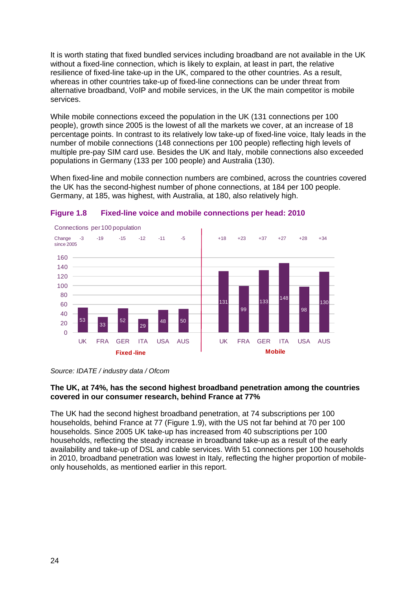It is worth stating that fixed bundled services including broadband are not available in the UK without a fixed-line connection, which is likely to explain, at least in part, the relative resilience of fixed-line take-up in the UK, compared to the other countries. As a result, whereas in other countries take-up of fixed-line connections can be under threat from alternative broadband, VoIP and mobile services, in the UK the main competitor is mobile services.

While mobile connections exceed the population in the UK (131 connections per 100 people), growth since 2005 is the lowest of all the markets we cover, at an increase of 18 percentage points. In contrast to its relatively low take-up of fixed-line voice, Italy leads in the number of mobile connections (148 connections per 100 people) reflecting high levels of multiple pre-pay SIM card use. Besides the UK and Italy, mobile connections also exceeded populations in Germany (133 per 100 people) and Australia (130).

When fixed-line and mobile connection numbers are combined, across the countries covered the UK has the second-highest number of phone connections, at 184 per 100 people. Germany, at 185, was highest, with Australia, at 180, also relatively high.



<span id="page-12-0"></span>

*Source: IDATE / industry data / Ofcom* 

## **The UK, at 74%, has the second highest broadband penetration among the countries covered in our consumer research, behind France at 77%**

The UK had the second highest broadband penetration, at 74 subscriptions per 100 households, behind France at 77 [\(Figure 1.9\)](#page-13-0), with the US not far behind at 70 per 100 households. Since 2005 UK take-up has increased from 40 subscriptions per 100 households, reflecting the steady increase in broadband take-up as a result of the early availability and take-up of DSL and cable services. With 51 connections per 100 households in 2010, broadband penetration was lowest in Italy, reflecting the higher proportion of mobileonly households, as mentioned earlier in this report.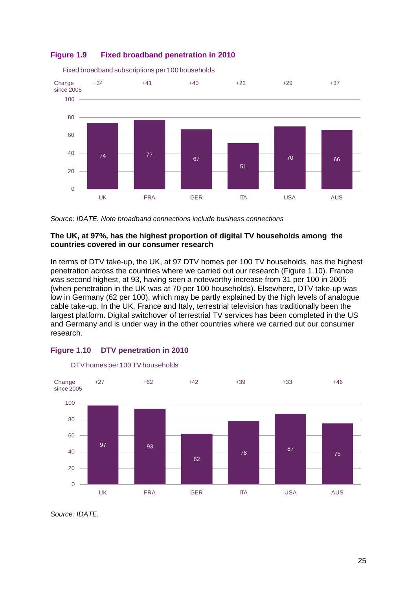## <span id="page-13-0"></span>**Figure 1.9 Fixed broadband penetration in 2010**



Fixed broadband subscriptions per 100 households

*Source: IDATE. Note broadband connections include business connections* 

### **The UK, at 97%, has the highest proportion of digital TV households among the countries covered in our consumer research**

In terms of DTV take-up, the UK, at 97 DTV homes per 100 TV households, has the highest penetration across the countries where we carried out our research [\(Figure 1.10\)](#page-13-1). France was second highest, at 93, having seen a noteworthy increase from 31 per 100 in 2005 (when penetration in the UK was at 70 per 100 households). Elsewhere, DTV take-up was low in Germany (62 per 100), which may be partly explained by the high levels of analogue cable take-up. In the UK, France and Italy, terrestrial television has traditionally been the largest platform. Digital switchover of terrestrial TV services has been completed in the US and Germany and is under way in the other countries where we carried out our consumer research.



## <span id="page-13-1"></span>**Figure 1.10 DTV penetration in 2010**

*Source: IDATE.*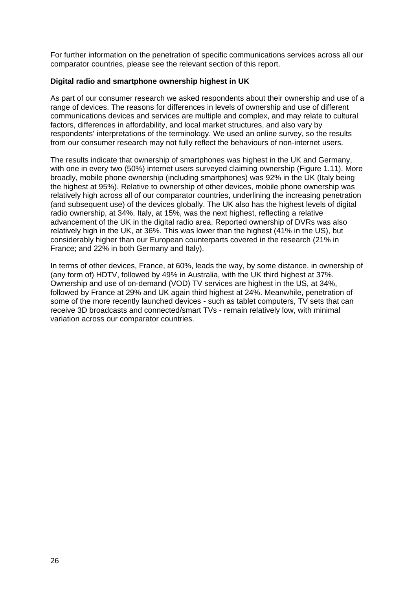For further information on the penetration of specific communications services across all our comparator countries, please see the relevant section of this report.

## **Digital radio and smartphone ownership highest in UK**

As part of our consumer research we asked respondents about their ownership and use of a range of devices. The reasons for differences in levels of ownership and use of different communications devices and services are multiple and complex, and may relate to cultural factors, differences in affordability, and local market structures, and also vary by respondents' interpretations of the terminology. We used an online survey, so the results from our consumer research may not fully reflect the behaviours of non-internet users.

The results indicate that ownership of smartphones was highest in the UK and Germany, with one in every two (50%) internet users surveyed claiming ownership [\(Figure 1.11\)](#page-15-0). More broadly, mobile phone ownership (including smartphones) was 92% in the UK (Italy being the highest at 95%). Relative to ownership of other devices, mobile phone ownership was relatively high across all of our comparator countries, underlining the increasing penetration (and subsequent use) of the devices globally. The UK also has the highest levels of digital radio ownership, at 34%. Italy, at 15%, was the next highest, reflecting a relative advancement of the UK in the digital radio area. Reported ownership of DVRs was also relatively high in the UK, at 36%. This was lower than the highest (41% in the US), but considerably higher than our European counterparts covered in the research (21% in France; and 22% in both Germany and Italy).

In terms of other devices, France, at 60%, leads the way, by some distance, in ownership of (any form of) HDTV, followed by 49% in Australia, with the UK third highest at 37%. Ownership and use of on-demand (VOD) TV services are highest in the US, at 34%, followed by France at 29% and UK again third highest at 24%. Meanwhile, penetration of some of the more recently launched devices - such as tablet computers, TV sets that can receive 3D broadcasts and connected/smart TVs - remain relatively low, with minimal variation across our comparator countries.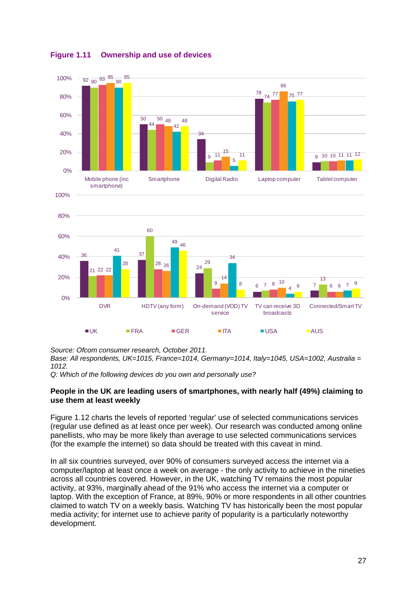

<span id="page-15-0"></span>**Figure 1.11 Ownership and use of devices**

*Source: Ofcom consumer research, October 2011.* 

*Base: All respondents, UK=1015, France=1014, Germany=1014, Italy=1045, USA=1002, Australia = 1012.* 

*Q: Which of the following devices do you own and personally use?*

#### **People in the UK are leading users of smartphones, with nearly half (49%) claiming to use them at least weekly**

[Figure 1.12](#page-17-0) charts the levels of reported 'regular' use of selected communications services (regular use defined as at least once per week). Our research was conducted among online panellists, who may be more likely than average to use selected communications services (for the example the internet) so data should be treated with this caveat in mind.

In all six countries surveyed, over 90% of consumers surveyed access the internet via a computer/laptop at least once a week on average - the only activity to achieve in the nineties across all countries covered. However, in the UK, watching TV remains the most popular activity, at 93%, marginally ahead of the 91% who access the internet via a computer or laptop. With the exception of France, at 89%, 90% or more respondents in all other countries claimed to watch TV on a weekly basis. Watching TV has historically been the most popular media activity; for internet use to achieve parity of popularity is a particularly noteworthy development.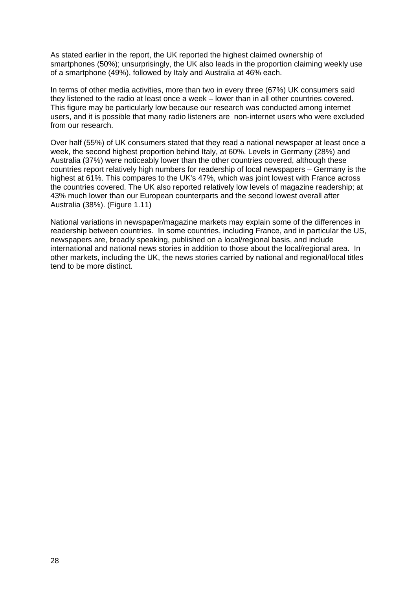As stated earlier in the report, the UK reported the highest claimed ownership of smartphones (50%); unsurprisingly, the UK also leads in the proportion claiming weekly use of a smartphone (49%), followed by Italy and Australia at 46% each.

In terms of other media activities, more than two in every three (67%) UK consumers said they listened to the radio at least once a week – lower than in all other countries covered. This figure may be particularly low because our research was conducted among internet users, and it is possible that many radio listeners are non-internet users who were excluded from our research.

Over half (55%) of UK consumers stated that they read a national newspaper at least once a week, the second highest proportion behind Italy, at 60%. Levels in Germany (28%) and Australia (37%) were noticeably lower than the other countries covered, although these countries report relatively high numbers for readership of local newspapers – Germany is the highest at 61%. This compares to the UK's 47%, which was joint lowest with France across the countries covered. The UK also reported relatively low levels of magazine readership; at 43% much lower than our European counterparts and the second lowest overall after Australia (38%). [\(Figure 1.11\)](#page-15-0)

National variations in newspaper/magazine markets may explain some of the differences in readership between countries. In some countries, including France, and in particular the US, newspapers are, broadly speaking, published on a local/regional basis, and include international and national news stories in addition to those about the local/regional area. In other markets, including the UK, the news stories carried by national and regional/local titles tend to be more distinct.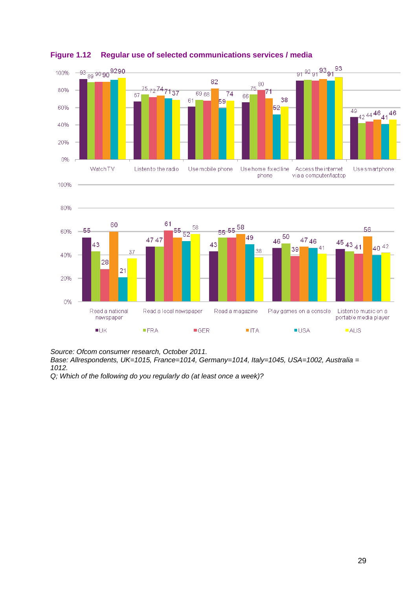

<span id="page-17-0"></span>**Figure 1.12 Regular use of selected communications services / media**

*Source: Ofcom consumer research, October 2011.* 

*Base: Allrespondents, UK=1015, France=1014, Germany=1014, Italy=1045, USA=1002, Australia = 1012.* 

*Q; Which of the following do you regularly do (at least once a week)?*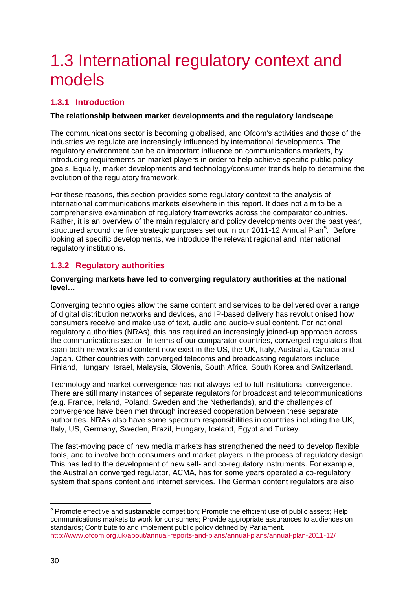# <span id="page-18-0"></span>1.3 International regulatory context and models

# <span id="page-18-1"></span>**1.3.1 Introduction**

## **The relationship between market developments and the regulatory landscape**

The communications sector is becoming globalised, and Ofcom's activities and those of the industries we regulate are increasingly influenced by international developments. The regulatory environment can be an important influence on communications markets, by introducing requirements on market players in order to help achieve specific public policy goals. Equally, market developments and technology/consumer trends help to determine the evolution of the regulatory framework.

For these reasons, this section provides some regulatory context to the analysis of international communications markets elsewhere in this report. It does not aim to be a comprehensive examination of regulatory frameworks across the comparator countries. Rather, it is an overview of the main regulatory and policy developments over the past year, structured around the five strategic purposes set out in our 2011-12 Annual Plan<sup>[5](#page-18-3)</sup>. Before looking at specific developments, we introduce the relevant regional and international regulatory institutions.

# <span id="page-18-2"></span>**1.3.2 Regulatory authorities**

### **Converging markets have led to converging regulatory authorities at the national level…**

Converging technologies allow the same content and services to be delivered over a range of digital distribution networks and devices, and IP-based delivery has revolutionised how consumers receive and make use of text, audio and audio-visual content. For national regulatory authorities (NRAs), this has required an increasingly joined-up approach across the communications sector. In terms of our comparator countries, converged regulators that span both networks and content now exist in the US, the UK, Italy, Australia, Canada and Japan. Other countries with converged telecoms and broadcasting regulators include Finland, Hungary, Israel, Malaysia, Slovenia, South Africa, South Korea and Switzerland.

Technology and market convergence has not always led to full institutional convergence. There are still many instances of separate regulators for broadcast and telecommunications (e.g. France, Ireland, Poland, Sweden and the Netherlands), and the challenges of convergence have been met through increased cooperation between these separate authorities. NRAs also have some spectrum responsibilities in countries including the UK, Italy, US, Germany, Sweden, Brazil, Hungary, Iceland, Egypt and Turkey.

The fast-moving pace of new media markets has strengthened the need to develop flexible tools, and to involve both consumers and market players in the process of regulatory design. This has led to the development of new self- and co-regulatory instruments. For example, the Australian converged regulator, ACMA, has for some years operated a co-regulatory system that spans content and internet services. The German content regulators are also

<span id="page-18-3"></span><sup>&</sup>lt;sup>5</sup> Promote effective and sustainable competition; Promote the efficient use of public assets; Help communications markets to work for consumers; Provide appropriate assurances to audiences on standards; Contribute to and implement public policy defined by Parliament. <http://www.ofcom.org.uk/about/annual-reports-and-plans/annual-plans/annual-plan-2011-12/>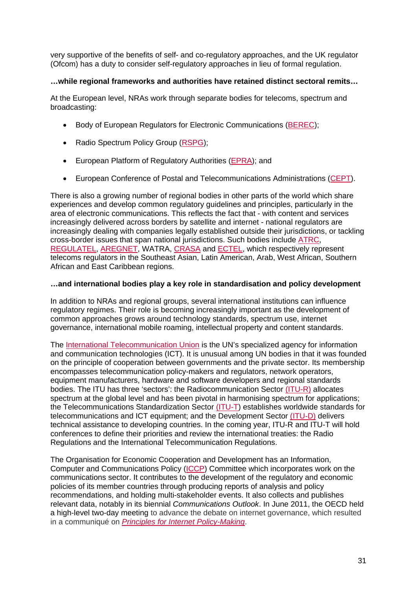very supportive of the benefits of self- and co-regulatory approaches, and the UK regulator (Ofcom) has a duty to consider self-regulatory approaches in lieu of formal regulation.

## **…while regional frameworks and authorities have retained distinct sectoral remits…**

At the European level, NRAs work through separate bodies for telecoms, spectrum and broadcasting:

- Body of European Regulators for Electronic Communications [\(BEREC\)](http://berec.europa.eu/);
- Radio Spectrum Policy Group [\(RSPG\)](http://rspg.groups.eu.int/);
- European Platform of Regulatory Authorities [\(EPRA\)](http://www.epra.org/content/english/index2.html); and
- European Conference of Postal and Telecommunications Administrations [\(CEPT\)](http://www.cept.org/cept).

There is also a growing number of regional bodies in other parts of the world which share experiences and develop common regulatory guidelines and principles, particularly in the area of electronic communications. This reflects the fact that - with content and services increasingly delivered across borders by satellite and internet - national regulators are increasingly dealing with companies legally established outside their jurisdictions, or tackling cross-border issues that span national jurisdictions. Such bodies include [ATRC,](http://www.aseanconnect.gov.my/pages/atrc/) [REGULATEL,](http://www.regulatel.org/j/index.php/home/quienes-somos) [AREGNET,](http://www.aregnet.net/en/?p=apropos) WATRA, [CRASA](http://www.crasa.org/) and [ECTEL,](http://www.ectel.int/) which respectively represent telecoms regulators in the Southeast Asian, Latin American, Arab, West African, Southern African and East Caribbean regions.

## **…and international bodies play a key role in standardisation and policy development**

In addition to NRAs and regional groups, several international institutions can influence regulatory regimes. Their role is becoming increasingly important as the development of common approaches grows around technology standards, spectrum use, internet governance, international mobile roaming, intellectual property and content standards.

The [International Telecommunication Union](http://www.itu.int/home/index.html) is the UN's specialized agency for information and communication technologies (ICT). It is unusual among UN bodies in that it was founded on the principle of cooperation between governments and the private sector. Its membership encompasses telecommunication policy-makers and regulators, network operators, equipment manufacturers, hardware and software developers and regional standards bodies. The ITU has three 'sectors': the Radiocommunication Sector [\(ITU-R\)](http://www.itu.int/ITU-R/index.asp?category=information&link=rhome&lang=en) allocates spectrum at the global level and has been pivotal in harmonising spectrum for applications; the Telecommunications Standardization Sector [\(ITU-T\)](http://www.itu.int/ITU-T/index.html) establishes worldwide standards for telecommunications and ICT equipment; and the Development Sector [\(ITU-D\)](http://www.itu.int/ITU-D/index.html) delivers technical assistance to developing countries. In the coming year, ITU-R and ITU-T will hold conferences to define their priorities and review the international treaties: the Radio Regulations and the International Telecommunication Regulations.

The Organisation for Economic Cooperation and Development has an Information, Computer and Communications Policy [\(ICCP\)](http://www.oecd.org/department/0,3355,en_2649_34225_1_1_1_1_1,00.html) Committee which incorporates work on the communications sector. It contributes to the development of the regulatory and economic policies of its member countries through producing reports of analysis and policy recommendations, and holding multi-stakeholder events. It also collects and publishes relevant data, notably in its biennial *Communications Outlook*. In June 2011, the OECD held a high-level two-day meeting to advance the debate on internet governance, which resulted in a communiqué on *[Principles for Internet](http://www.oecd.org/dataoecd/40/21/48289796.pdf) Policy-Making*.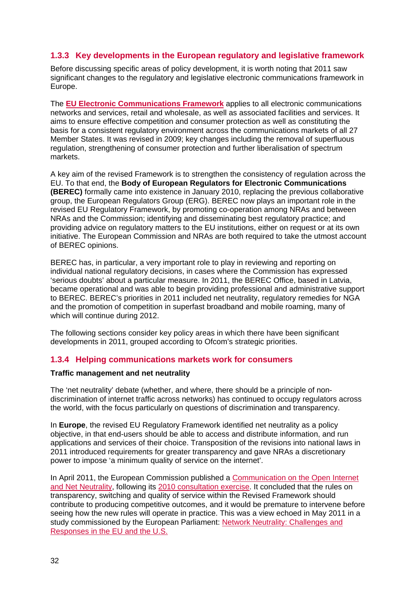# <span id="page-20-0"></span>**1.3.3 Key developments in the European regulatory and legislative framework**

Before discussing specific areas of policy development, it is worth noting that 2011 saw significant changes to the regulatory and legislative electronic communications framework in Europe.

The **[EU Electronic Communications Framework](http://ec.europa.eu/information_society/policy/ecomm/index_en.htm)** applies to all electronic communications networks and services, retail and wholesale, as well as associated facilities and services. It aims to ensure effective competition and consumer protection as well as constituting the basis for a consistent regulatory environment across the communications markets of all 27 Member States. It was revised in 2009; key changes including the removal of superfluous regulation, strengthening of consumer protection and further liberalisation of spectrum markets.

A key aim of the revised Framework is to strengthen the consistency of regulation across the EU. To that end, the **Body of European Regulators for Electronic Communications (BEREC)** formally came into existence in January 2010, replacing the previous collaborative group, the European Regulators Group (ERG). BEREC now plays an important role in the revised EU Regulatory Framework, by promoting co-operation among NRAs and between NRAs and the Commission; identifying and disseminating best regulatory practice; and providing advice on regulatory matters to the EU institutions, either on request or at its own initiative. The European Commission and NRAs are both required to take the utmost account of BEREC opinions.

BEREC has, in particular, a very important role to play in reviewing and reporting on individual national regulatory decisions, in cases where the Commission has expressed 'serious doubts' about a particular measure. In 2011, the BEREC Office, based in Latvia, became operational and was able to begin providing professional and administrative support to BEREC. BEREC's priorities in 2011 included net neutrality, regulatory remedies for NGA and the promotion of competition in superfast broadband and mobile roaming, many of which will continue during 2012.

The following sections consider key policy areas in which there have been significant developments in 2011, grouped according to Ofcom's strategic priorities.

# <span id="page-20-1"></span>**1.3.4 Helping communications markets work for consumers**

## **Traffic management and net neutrality**

The 'net neutrality' debate (whether, and where, there should be a principle of nondiscrimination of internet traffic across networks) has continued to occupy regulators across the world, with the focus particularly on questions of discrimination and transparency.

In **Europe**, the revised EU Regulatory Framework identified net neutrality as a policy objective, in that end-users should be able to access and distribute information, and run applications and services of their choice. Transposition of the revisions into national laws in 2011 introduced requirements for greater transparency and gave NRAs a discretionary power to impose 'a minimum quality of service on the internet'.

In April 2011, the European Commission published a [Communication on the Open Internet](http://ec.europa.eu/information_society/policy/ecomm/doc/library/communications_reports/netneutrality/comm-19042011.pdf)  [and Net Neutrality,](http://ec.europa.eu/information_society/policy/ecomm/doc/library/communications_reports/netneutrality/comm-19042011.pdf) following its [2010 consultation exercise.](http://ec.europa.eu/information_society/policy/ecomm/library/public_consult/net_neutrality/index_en.htm) It concluded that the rules on transparency, switching and quality of service within the Revised Framework should contribute to producing competitive outcomes, and it would be premature to intervene before seeing how the new rules will operate in practice. This was a view echoed in May 2011 in a study commissioned by the European Parliament: [Network Neutrality: Challenges and](http://www.europarl.europa.eu/document/activities/cont/201105/20110523ATT20073/20110523ATT20073EN.pdf)  [Responses in the EU and the U.S.](http://www.europarl.europa.eu/document/activities/cont/201105/20110523ATT20073/20110523ATT20073EN.pdf)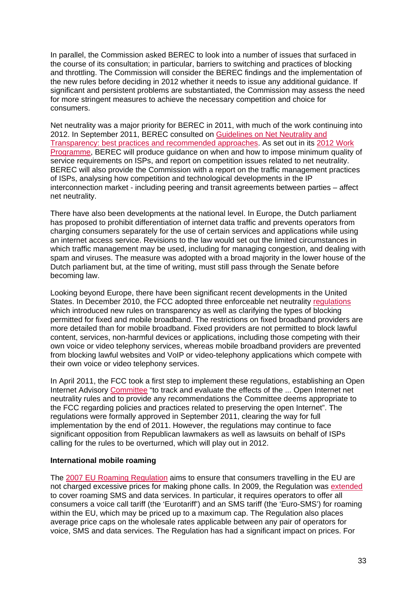In parallel, the Commission asked BEREC to look into a number of issues that surfaced in the course of its consultation; in particular, barriers to switching and practices of blocking and throttling. The Commission will consider the BEREC findings and the implementation of the new rules before deciding in 2012 whether it needs to issue any additional guidance. If significant and persistent problems are substantiated, the Commission may assess the need for more stringent measures to achieve the necessary competition and choice for consumers.

Net neutrality was a major priority for BEREC in 2011, with much of the work continuing into 2012. In September 2011, BEREC consulted on [Guidelines on Net Neutrality and](http://berec.europa.eu/doc/berec/consultation_draft_guidelines.pdf)  [Transparency: best practices and recommended approaches.](http://berec.europa.eu/doc/berec/consultation_draft_guidelines.pdf) As set out in its [2012 Work](http://berec.europa.eu/workprog/index_en.htm)  [Programme,](http://berec.europa.eu/workprog/index_en.htm) BEREC will produce guidance on when and how to impose minimum quality of service requirements on ISPs, and report on competition issues related to net neutrality. BEREC will also provide the Commission with a report on the traffic management practices of ISPs, analysing how competition and technological developments in the IP interconnection market - including peering and transit agreements between parties – affect net neutrality.

There have also been developments at the national level. In Europe, the Dutch parliament has proposed to prohibit differentiation of internet data traffic and prevents operators from charging consumers separately for the use of certain services and applications while using an internet access service. Revisions to the law would set out the limited circumstances in which traffic management may be used, including for managing congestion, and dealing with spam and viruses. The measure was adopted with a broad majority in the lower house of the Dutch parliament but, at the time of writing, must still pass through the Senate before becoming law.

Looking beyond Europe, there have been significant recent developments in the United States. In December 2010, the FCC adopted three enforceable net neutrality [regulations](http://transition.fcc.gov/Daily_Releases/Daily_Business/2010/db1223/FCC-10-201A1.pdf) which introduced new rules on transparency as well as clarifying the types of blocking permitted for fixed and mobile broadband. The restrictions on fixed broadband providers are more detailed than for mobile broadband. Fixed providers are not permitted to block lawful content, services, non-harmful devices or applications, including those competing with their own voice or video telephony services, whereas mobile broadband providers are prevented from blocking lawful websites and VoIP or video-telephony applications which compete with their own voice or video telephony services.

In April 2011, the FCC took a first step to implement these regulations, establishing an Open Internet Advisory [Committee](http://www.federalregister.gov/articles/2011/04/21/2011-9723/federal-advisory-committee-act-open-internet-advisory-committee#h-5) "to track and evaluate the effects of the ... Open Internet net neutrality rules and to provide any recommendations the Committee deems appropriate to the FCC regarding policies and practices related to preserving the open Internet". The regulations were formally approved in September 2011, clearing the way for full implementation by the end of 2011. However, the regulations may continue to face significant opposition from Republican lawmakers as well as lawsuits on behalf of ISPs calling for the rules to be overturned, which will play out in 2012.

#### **International mobile roaming**

The [2007 EU Roaming Regulation](http://eur-lex.europa.eu/LexUriServ/LexUriServ.do?uri=OJ:L:2007:171:0032:0032:EN:PDF) aims to ensure that consumers travelling in the EU are not charged excessive prices for making phone calls. In 2009, the Regulation was [extended](http://eur-lex.europa.eu/LexUriServ/LexUriServ.do?uri=OJ:L:2009:167:0012:0023:EN:PDF) to cover roaming SMS and data services. In particular, it requires operators to offer all consumers a voice call tariff (the 'Eurotariff') and an SMS tariff (the 'Euro-SMS') for roaming within the EU, which may be priced up to a maximum cap. The Regulation also places average price caps on the wholesale rates applicable between any pair of operators for voice, SMS and data services. The Regulation has had a significant impact on prices. For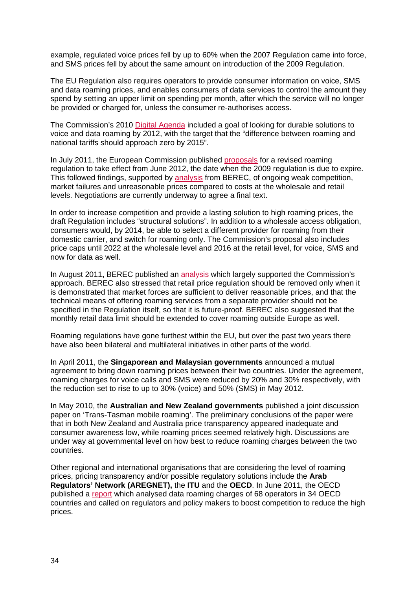example, regulated voice prices fell by up to 60% when the 2007 Regulation came into force, and SMS prices fell by about the same amount on introduction of the 2009 Regulation.

The EU Regulation also requires operators to provide consumer information on voice, SMS and data roaming prices, and enables consumers of data services to control the amount they spend by setting an upper limit on spending per month, after which the service will no longer be provided or charged for, unless the consumer re-authorises access.

The Commission's 2010 [Digital Agenda](http://ec.europa.eu/information_society/digital-agenda/documents/digital-agenda-communication-en.pdf) included a goal of looking for durable solutions to voice and data roaming by 2012, with the target that the "difference between roaming and national tariffs should approach zero by 2015".

In July 2011, the European Commission published [proposals](http://ec.europa.eu/information_society/activities/roaming/docs/roaming_recast11.pdf) for a revised roaming regulation to take effect from June 2012, the date when the 2009 regulation is due to expire. This followed findings, supported by [analysis](http://berec.europa.eu/doc/berec/bor_10_58.pdf) from BEREC, of ongoing weak competition, market failures and unreasonable prices compared to costs at the wholesale and retail levels. Negotiations are currently underway to agree a final text.

In order to increase competition and provide a lasting solution to high roaming prices, the draft Regulation includes "structural solutions". In addition to a wholesale access obligation, consumers would, by 2014, be able to select a different provider for roaming from their domestic carrier, and switch for roaming only. The Commission's proposal also includes price caps until 2022 at the wholesale level and 2016 at the retail level, for voice, SMS and now for data as well.

In August 2011**,** BEREC published an [analysis](http://berec.europa.eu/doc/berec/text_voting.pdf) which largely supported the Commission's approach. BEREC also stressed that retail price regulation should be removed only when it is demonstrated that market forces are sufficient to deliver reasonable prices, and that the technical means of offering roaming services from a separate provider should not be specified in the Regulation itself, so that it is future-proof. BEREC also suggested that the monthly retail data limit should be extended to cover roaming outside Europe as well.

Roaming regulations have gone furthest within the EU, but over the past two years there have also been bilateral and multilateral initiatives in other parts of the world.

In April 2011, the **Singaporean and Malaysian governments** announced a mutual agreement to bring down roaming prices between their two countries. Under the agreement, roaming charges for voice calls and SMS were reduced by 20% and 30% respectively, with the reduction set to rise to up to 30% (voice) and 50% (SMS) in May 2012.

In May 2010, the **Australian and New Zealand governments** published a joint discussion paper on 'Trans-Tasman mobile roaming'. The preliminary conclusions of the paper were that in both New Zealand and Australia price transparency appeared inadequate and consumer awareness low, while roaming prices seemed relatively high. Discussions are under way at governmental level on how best to reduce roaming charges between the two countries.

Other regional and international organisations that are considering the level of roaming prices, pricing transparency and/or possible regulatory solutions include the **Arab Regulators' Network (AREGNET),** the **ITU** and the **OECD**. In June 2011, the OECD published a [report](http://www.oecd.org/document/9/0,3746,en_21571361_44315115_48129353_1_1_1_1,00.html) which analysed data roaming charges of 68 operators in 34 OECD countries and called on regulators and policy makers to boost competition to reduce the high prices.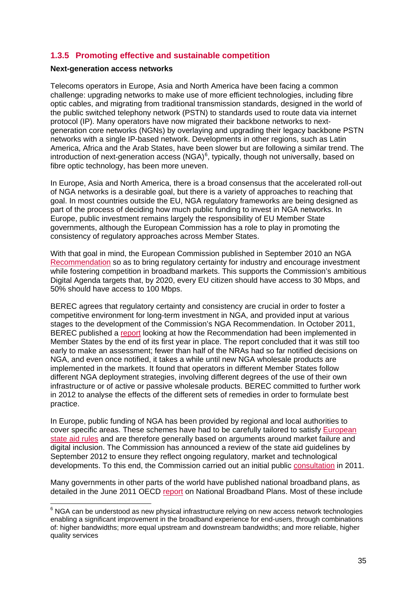# <span id="page-23-0"></span>**1.3.5 Promoting effective and sustainable competition**

#### **Next-generation access networks**

Telecoms operators in Europe, Asia and North America have been facing a common challenge: upgrading networks to make use of more efficient technologies, including fibre optic cables, and migrating from traditional transmission standards, designed in the world of the public switched telephony network (PSTN) to standards used to route data via internet protocol (IP). Many operators have now migrated their backbone networks to nextgeneration core networks (NGNs) by overlaying and upgrading their legacy backbone PSTN networks with a single IP-based network. Developments in other regions, such as Latin America, Africa and the Arab States, have been slower but are following a similar trend. The introduction of next-generation access (NGA)<sup>[6](#page-23-1)</sup>, typically, though not universally, based on fibre optic technology, has been more uneven.

In Europe, Asia and North America, there is a broad consensus that the accelerated roll-out of NGA networks is a desirable goal, but there is a variety of approaches to reaching that goal. In most countries outside the EU, NGA regulatory frameworks are being designed as part of the process of deciding how much public funding to invest in NGA networks. In Europe, public investment remains largely the responsibility of EU Member State governments, although the European Commission has a role to play in promoting the consistency of regulatory approaches across Member States.

With that goal in mind, the European Commission published in September 2010 an NGA [Recommendation](http://eur-lex.europa.eu/LexUriServ/LexUriServ.do?uri=CELEX:32010H0572:EN:NOT) so as to bring regulatory certainty for industry and encourage investment while fostering competition in broadband markets. This supports the Commission's ambitious Digital Agenda targets that, by 2020, every EU citizen should have access to 30 Mbps, and 50% should have access to 100 Mbps.

BEREC agrees that regulatory certainty and consistency are crucial in order to foster a competitive environment for long-term investment in NGA, and provided input at various stages to the development of the Commission's NGA Recommendation. In October 2011, BEREC published a [report](http://berec.europa.eu/doc/berec/bor_11_43.pdf) looking at how the Recommendation had been implemented in Member States by the end of its first year in place. The report concluded that it was still too early to make an assessment; fewer than half of the NRAs had so far notified decisions on NGA, and even once notified, it takes a while until new NGA wholesale products are implemented in the markets. It found that operators in different Member States follow different NGA deployment strategies, involving different degrees of the use of their own infrastructure or of active or passive wholesale products. BEREC committed to further work in 2012 to analyse the effects of the different sets of remedies in order to formulate best practice.

In Europe, public funding of NGA has been provided by regional and local authorities to cover specific areas. These schemes have had to be carefully tailored to satisfy [European](http://europa.eu/rapid/pressReleasesAction.do?reference=IP/09/1332&format=HTML&aged=0&language=EN&guiLanguage=en)  [state aid rules](http://europa.eu/rapid/pressReleasesAction.do?reference=IP/09/1332&format=HTML&aged=0&language=EN&guiLanguage=en) and are therefore generally based on arguments around market failure and digital inclusion. The Commission has announced a review of the state aid guidelines by September 2012 to ensure they reflect ongoing regulatory, market and technological developments. To this end, the Commission carried out an initial public [consultation](http://europa.eu/rapid/pressReleasesAction.do?reference=IP/11/493&format=HTML&aged=0&language=EN&guiLanguage=en) in 2011.

Many governments in other parts of the world have published national broadband plans, as detailed in the June 2011 OECD [report](http://www.oecd.org/dataoecd/22/41/48459395.pdf) on National Broadband Plans. Most of these include

<span id="page-23-1"></span> $6$  NGA can be understood as new physical infrastructure relying on new access network technologies enabling a significant improvement in the broadband experience for end-users, through combinations of: higher bandwidths; more equal upstream and downstream bandwidths; and more reliable, higher quality services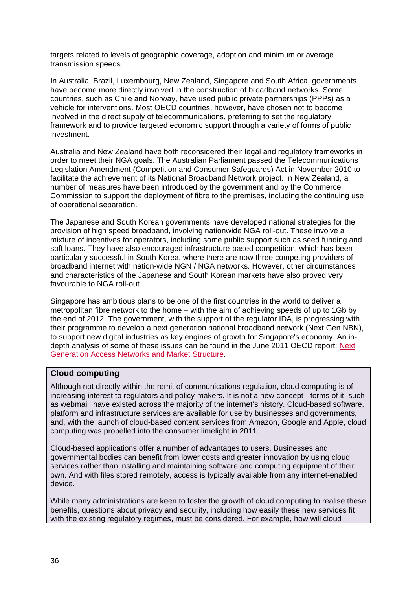targets related to levels of geographic coverage, adoption and minimum or average transmission speeds.

In Australia, Brazil, Luxembourg, New Zealand, Singapore and South Africa, governments have become more directly involved in the construction of broadband networks. Some countries, such as Chile and Norway, have used public private partnerships (PPPs) as a vehicle for interventions. Most OECD countries, however, have chosen not to become involved in the direct supply of telecommunications, preferring to set the regulatory framework and to provide targeted economic support through a variety of forms of public investment.

Australia and New Zealand have both reconsidered their legal and regulatory frameworks in order to meet their NGA goals. The Australian Parliament passed the Telecommunications Legislation Amendment (Competition and Consumer Safeguards) Act in November 2010 to facilitate the achievement of its National Broadband Network project. In New Zealand, a number of measures have been introduced by the government and by the Commerce Commission to support the deployment of fibre to the premises, including the continuing use of operational separation.

The Japanese and South Korean governments have developed national strategies for the provision of high speed broadband, involving nationwide NGA roll-out. These involve a mixture of incentives for operators, including some public support such as seed funding and soft loans. They have also encouraged infrastructure-based competition, which has been particularly successful in South Korea, where there are now three competing providers of broadband internet with nation-wide NGN / NGA networks. However, other circumstances and characteristics of the Japanese and South Korean markets have also proved very favourable to NGA roll-out.

Singapore has ambitious plans to be one of the first countries in the world to deliver a metropolitan fibre network to the home – with the aim of achieving speeds of up to 1Gb by the end of 2012. The government, with the support of the regulator IDA, is progressing with their programme to develop a next generation national broadband network (Next Gen NBN), to support new digital industries as key engines of growth for Singapore's economy. An indepth analysis of some of these issues can be found in the June 2011 OECD report: [Next](http://www.oecd.org/officialdocuments/publicdisplaydocumentpdf/?cote=DSTI/ICCP/CISP(2010)5/FINAL&docLanguage=En)  [Generation Access Networks and Market Structure.](http://www.oecd.org/officialdocuments/publicdisplaydocumentpdf/?cote=DSTI/ICCP/CISP(2010)5/FINAL&docLanguage=En)

# **Cloud computing**

Although not directly within the remit of communications regulation, cloud computing is of increasing interest to regulators and policy-makers. It is not a new concept - forms of it, such as webmail, have existed across the majority of the internet's history. Cloud-based software, platform and infrastructure services are available for use by businesses and governments, and, with the launch of cloud-based content services from Amazon, Google and Apple, cloud computing was propelled into the consumer limelight in 2011.

Cloud-based applications offer a number of advantages to users. Businesses and governmental bodies can benefit from lower costs and greater innovation by using cloud services rather than installing and maintaining software and computing equipment of their own. And with files stored remotely, access is typically available from any internet-enabled device.

While many administrations are keen to foster the growth of cloud computing to realise these benefits, questions about privacy and security, including how easily these new services fit with the existing regulatory regimes, must be considered. For example, how will cloud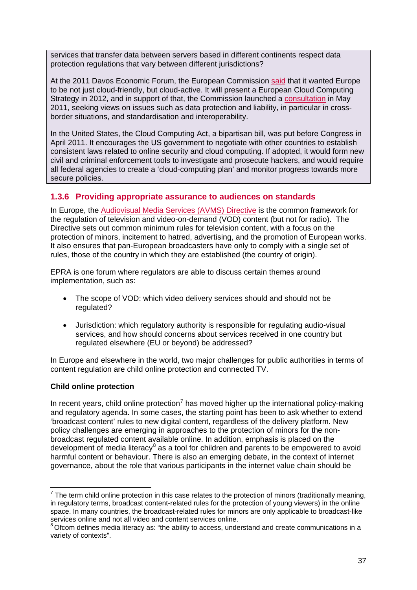services that transfer data between servers based in different continents respect data protection regulations that vary between different jurisdictions?

At the 2011 Davos Economic Forum, the European Commission [said](http://europa.eu/rapid/pressReleasesAction.do?reference=SPEECH/11/50) that it wanted Europe to be not just cloud-friendly, but cloud-active. It will present a European Cloud Computing Strategy in 2012, and in support of that, the Commission launched a [consultation](http://europa.eu/rapid/pressReleasesAction.do?reference=IP/11/575&format=HTML&aged=0&language=EN&guiLanguage=en) in May 2011, seeking views on issues such as data protection and liability, in particular in crossborder situations, and standardisation and interoperability.

In the United States, the Cloud Computing Act, a bipartisan bill, was put before Congress in April 2011. It encourages the US government to negotiate with other countries to establish consistent laws related to online security and cloud computing. If adopted, it would form new civil and criminal enforcement tools to investigate and prosecute hackers, and would require all federal agencies to create a 'cloud-computing plan' and monitor progress towards more secure policies.

# <span id="page-25-0"></span>**1.3.6 Providing appropriate assurance to audiences on standards**

In Europe, the [Audiovisual Media Services \(AVMS\) Directive](http://eur-lex.europa.eu/LexUriServ/LexUriServ.do?uri=OJ:L:2010:095:0001:0024:EN:PDF) is the common framework for the regulation of television and video-on-demand (VOD) content (but not for radio). The Directive sets out common minimum rules for television content, with a focus on the protection of minors, incitement to hatred, advertising, and the promotion of European works. It also ensures that pan-European broadcasters have only to comply with a single set of rules, those of the country in which they are established (the country of origin).

EPRA is one forum where regulators are able to discuss certain themes around implementation, such as:

- The scope of VOD: which video delivery services should and should not be regulated?
- Jurisdiction: which regulatory authority is responsible for regulating audio-visual services, and how should concerns about services received in one country but regulated elsewhere (EU or beyond) be addressed?

In Europe and elsewhere in the world, two major challenges for public authorities in terms of content regulation are child online protection and connected TV.

## **Child online protection**

In recent years, child online protection<sup>[7](#page-25-1)</sup> has moved higher up the international policy-making and regulatory agenda. In some cases, the starting point has been to ask whether to extend 'broadcast content' rules to new digital content, regardless of the delivery platform. New policy challenges are emerging in approaches to the protection of minors for the nonbroadcast regulated content available online. In addition, emphasis is placed on the development of media literacy<sup>[8](#page-25-2)</sup> as a tool for children and parents to be empowered to avoid harmful content or behaviour. There is also an emerging debate, in the context of internet governance, about the role that various participants in the internet value chain should be

<span id="page-25-1"></span> $<sup>7</sup>$  The term child online protection in this case relates to the protection of minors (traditionally meaning,</sup> in regulatory terms, broadcast content-related rules for the protection of young viewers) in the online space. In many countries, the broadcast-related rules for minors are only applicable to broadcast-like services online and not all video and content services online.

<span id="page-25-2"></span><sup>&</sup>lt;sup>8</sup> Ofcom defines media literacy as: "the ability to access, understand and create communications in a variety of contexts".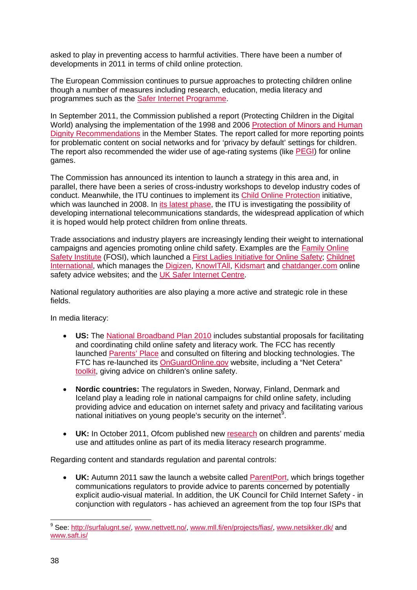asked to play in preventing access to harmful activities. There have been a number of developments in 2011 in terms of child online protection.

The European Commission continues to pursue approaches to protecting children online though a number of measures including research, education, media literacy and programmes such as the [Safer Internet Programme.](http://ec.europa.eu/information_society/activities/sip/index_en.htm)

In September 2011, the Commission published a report (Protecting Children in the Digital World) analysing the implementation of the 1998 and 2006 [Protection of Minors and Human](http://eur-lex.europa.eu/LexUriServ/LexUriServ.do?uri=COM:2011:0556:FIN:EN:PDF)  [Dignity Recommendations](http://eur-lex.europa.eu/LexUriServ/LexUriServ.do?uri=COM:2011:0556:FIN:EN:PDF) in the Member States. The report called for more reporting points for problematic content on social networks and for 'privacy by default' settings for children. The report also recommended the wider use of age-rating systems (like [PEGI\)](http://www.pegi.info/en/index/) for online games.

The Commission has announced its intention to launch a strategy in this area and, in parallel, there have been a series of cross-industry workshops to develop industry codes of conduct. Meanwhile, the ITU continues to implement its Child Online Protection initiative, which was launched in 2008. In [its latest phase,](http://www.itu.int/osg/blog/2011/05/09/ITUAimsToProtectKidsOnlineWithStandards.aspx) the ITU is investigating the possibility of developing international telecommunications standards, the widespread application of which it is hoped would help protect children from online threats.

Trade associations and industry players are increasingly lending their weight to international campaigns and agencies promoting online child safety. Examples are the [Family Online](http://www.fosi.org/)  [Safety Institute](http://www.fosi.org/) (FOSI), which launched a [First Ladies Initiative for Online Safety;](http://www.fosi.org/first-ladies-initiative-for-online-safety.html) [Childnet](http://www.childnet-int.org/)  [International,](http://www.childnet-int.org/) which manages the [Digizen,](http://www.digizen.org/) [KnowITAll,](http://www.childnet-int.org/kia/) [Kidsmart](http://www.kidsmart.org.uk/) and [chatdanger.com](http://www.chatdanger.com/) online safety advice websites; and the [UK Safer Internet Centre.](http://www.saferinternet.org.uk/)

National regulatory authorities are also playing a more active and strategic role in these fields.

In media literacy:

- **US:** The [National Broadband Plan 2010](http://www.broadband.gov/plan/) includes substantial proposals for facilitating and coordinating child online safety and literacy work. The FCC has recently launched [Parents' Place](http://www.fcc.gov/parents) and consulted on filtering and blocking technologies. The FTC has re-launched its [OnGuardOnline.gov](http://onguardonline.gov/features/feature-0002-featured-info-parents) website, including a "Net Cetera" [toolkit,](http://onguardonline.gov/features/feature-0004-featured-net-cetera-toolkit) giving advice on children's online safety.
- **Nordic countries:** The regulators in Sweden, Norway, Finland, Denmark and Iceland play a leading role in national campaigns for child online safety, including providing advice and education on internet safety and privacy and facilitating various national initiatives on young people's security on the internet<sup>[9](#page-26-0)</sup>.
- UK: In October 2011, Ofcom published new [research](http://media.ofcom.org.uk/2011/10/25/more-teenagers-say-they-would-miss-their-mobiles-and-the-internet-than-watch-tv/) on children and parents' media use and attitudes online as part of its media literacy research programme.

Regarding content and standards regulation and parental controls:

• **UK:** Autumn 2011 saw the launch a website called [ParentPort,](http://www.parentport.org.uk/) which brings together communications regulators to provide advice to parents concerned by potentially explicit audio-visual material. In addition, the UK Council for Child Internet Safety - in conjunction with regulators - has achieved an agreement from the top four ISPs that

<span id="page-26-0"></span><sup>&</sup>lt;sup>9</sup> See: [http://surfalugnt.se/,](http://surfalugnt.se/) [www.nettvett.no/,](http://www.nettvett.no/) [www.mll.fi/en/projects/fias/,](http://www.mll.fi/en/projects/fias/) [www.netsikker.dk/](http://www.netsikker.dk/) and [www.saft.is/](http://www.saft.is/)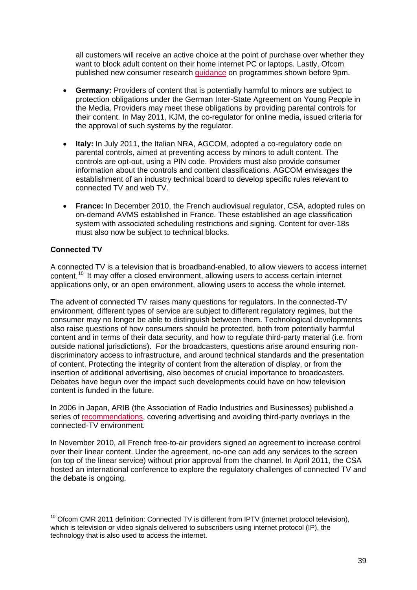all customers will receive an active choice at the point of purchase over whether they want to block adult content on their home internet PC or laptops. Lastly, Ofcom published new consumer research [guidance](http://media.ofcom.org.uk/2011/09/30/ofcom-warns-tv-broadcasters-to-be-more-careful-around-watershed/) on programmes shown before 9pm.

- **Germany:** Providers of content that is potentially harmful to minors are subject to protection obligations under the German Inter-State Agreement on Young People in the Media. Providers may meet these obligations by providing parental controls for their content. In May 2011, KJM, the co-regulator for online media, issued criteria for the approval of such systems by the regulator.
- **Italy:** In July 2011, the Italian NRA, AGCOM, adopted a co-regulatory code on parental controls, aimed at preventing access by minors to adult content. The controls are opt-out, using a PIN code. Providers must also provide consumer information about the controls and content classifications. AGCOM envisages the establishment of an industry technical board to develop specific rules relevant to connected TV and web TV.
- **France:** In December 2010, the French audiovisual regulator, CSA, adopted rules on on-demand AVMS established in France. These established an age classification system with associated scheduling restrictions and signing. Content for over-18s must also now be subject to technical blocks.

# **Connected TV**

A connected TV is a television that is broadband-enabled, to allow viewers to access internet content.<sup>[10](#page-27-0)</sup> It may offer a closed environment, allowing users to access certain internet applications only, or an open environment, allowing users to access the whole internet.

The advent of connected TV raises many questions for regulators. In the connected-TV environment, different types of service are subject to different regulatory regimes, but the consumer may no longer be able to distinguish between them. Technological developments also raise questions of how consumers should be protected, both from potentially harmful content and in terms of their data security, and how to regulate third-party material (i.e. from outside national jurisdictions). For the broadcasters, questions arise around ensuring nondiscriminatory access to infrastructure, and around technical standards and the presentation of content. Protecting the integrity of content from the alteration of display, or from the insertion of additional advertising, also becomes of crucial importance to broadcasters. Debates have begun over the impact such developments could have on how television content is funded in the future.

In 2006 in Japan, ARIB (the Association of Radio Industries and Businesses) published a series of [recommendations,](http://www.arib.or.jp/english/html/overview/doc/8-TR-B14v2_8-1p3-1-E2.pdf) covering advertising and avoiding third-party overlays in the connected-TV environment.

In November 2010, all French free-to-air providers signed an agreement to increase control over their linear content. Under the agreement, no-one can add any services to the screen (on top of the linear service) without prior approval from the channel. In April 2011, the CSA hosted an international conference to explore the regulatory challenges of connected TV and the debate is ongoing.

<span id="page-27-0"></span> $10$  Ofcom CMR 2011 definition: Connected TV is different from IPTV (internet protocol television), which is television or video signals delivered to subscribers using internet protocol (IP), the technology that is also used to access the internet.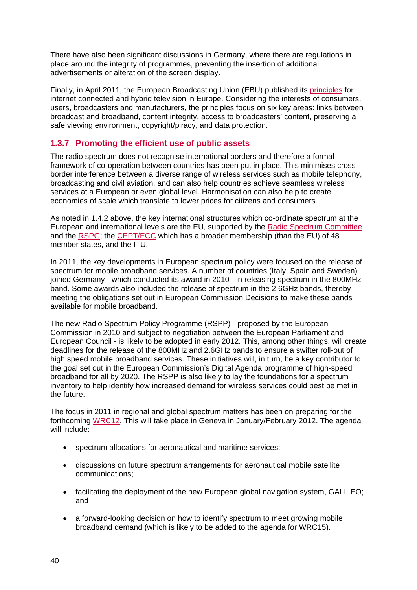There have also been significant discussions in Germany, where there are regulations in place around the integrity of programmes, preventing the insertion of additional advertisements or alteration of the screen display.

Finally, in April 2011, the European Broadcasting Union (EBU) published its [principles](http://www.ebu.ch/CMSimages/en/Annex%20PR_15.04.2011_Principles%20for%20Internet%20Connected%20and%20Hybrid%20Television%20in%20Europe_tcm6-71718.pdf) for internet connected and hybrid television in Europe. Considering the interests of consumers, users, broadcasters and manufacturers, the principles focus on six key areas: links between broadcast and broadband, content integrity, access to broadcasters' content, preserving a safe viewing environment, copyright/piracy, and data protection.

# <span id="page-28-0"></span>**1.3.7 Promoting the efficient use of public assets**

The radio spectrum does not recognise international borders and therefore a formal framework of co-operation between countries has been put in place. This minimises crossborder interference between a diverse range of wireless services such as mobile telephony, broadcasting and civil aviation, and can also help countries achieve seamless wireless services at a European or even global level. Harmonisation can also help to create economies of scale which translate to lower prices for citizens and consumers.

As noted in 1.4.2 above, the key international structures which co-ordinate spectrum at the European and international levels are the EU, supported by the [Radio Spectrum Committee](http://ec.europa.eu/information_society/policy/ecomm/radio_spectrum/eu_policy/rsc/index_en.htm) and the [RSPG;](http://rspg.groups.eu.int/) the [CEPT/ECC](http://www.cept.org/ecc) which has a broader membership (than the EU) of 48 member states, and the ITU.

In 2011, the key developments in European spectrum policy were focused on the release of spectrum for mobile broadband services. A number of countries (Italy, Spain and Sweden) joined Germany - which conducted its award in 2010 - in releasing spectrum in the 800MHz band. Some awards also included the release of spectrum in the 2.6GHz bands, thereby meeting the obligations set out in European Commission Decisions to make these bands available for mobile broadband.

The new Radio Spectrum Policy Programme (RSPP) - proposed by the European Commission in 2010 and subject to negotiation between the European Parliament and European Council - is likely to be adopted in early 2012. This, among other things, will create deadlines for the release of the 800MHz and 2.6GHz bands to ensure a swifter roll-out of high speed mobile broadband services. These initiatives will, in turn, be a key contributor to the goal set out in the European Commission's Digital Agenda programme of high-speed broadband for all by 2020. The RSPP is also likely to lay the foundations for a spectrum inventory to help identify how increased demand for wireless services could best be met in the future.

The focus in 2011 in regional and global spectrum matters has been on preparing for the forthcoming [WRC12.](http://www.itu.int/ITU-R/index.asp?category=conferences&rlink=wrc-12&lang=en) This will take place in Geneva in January/February 2012. The agenda will include:

- spectrum allocations for aeronautical and maritime services:
- discussions on future spectrum arrangements for aeronautical mobile satellite communications;
- facilitating the deployment of the new European global navigation system, GALILEO; and
- a forward-looking decision on how to identify spectrum to meet growing mobile broadband demand (which is likely to be added to the agenda for WRC15).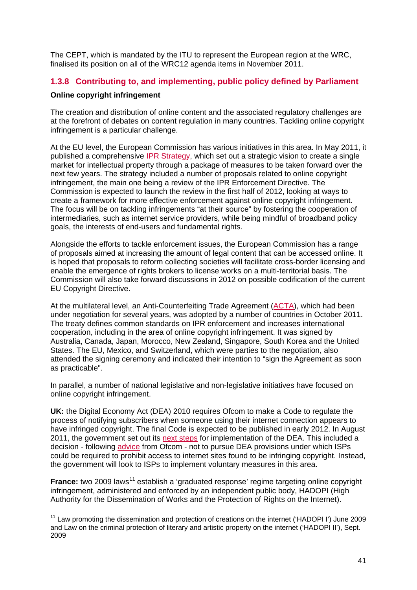The CEPT, which is mandated by the ITU to represent the European region at the WRC, finalised its position on all of the WRC12 agenda items in November 2011.

# <span id="page-29-0"></span>**1.3.8 Contributing to, and implementing, public policy defined by Parliament**

## **Online copyright infringement**

The creation and distribution of online content and the associated regulatory challenges are at the forefront of debates on content regulation in many countries. Tackling online copyright infringement is a particular challenge.

At the EU level, the European Commission has various initiatives in this area. In May 2011, it published a comprehensive [IPR Strategy,](http://ec.europa.eu/internal_market/copyright/docs/ipr_strategy/COM_2011_287_en.pdf) which set out a strategic vision to create a single market for intellectual property through a package of measures to be taken forward over the next few years. The strategy included a number of proposals related to online copyright infringement, the main one being a review of the IPR Enforcement Directive. The Commission is expected to launch the review in the first half of 2012, looking at ways to create a framework for more effective enforcement against online copyright infringement. The focus will be on tackling infringements "at their source" by fostering the cooperation of intermediaries, such as internet service providers, while being mindful of broadband policy goals, the interests of end-users and fundamental rights.

Alongside the efforts to tackle enforcement issues, the European Commission has a range of proposals aimed at increasing the amount of legal content that can be accessed online. It is hoped that proposals to reform collecting societies will facilitate cross-border licensing and enable the emergence of rights brokers to license works on a multi-territorial basis. The Commission will also take forward discussions in 2012 on possible codification of the current EU Copyright Directive.

At the multilateral level, an Anti-Counterfeiting Trade Agreement [\(ACTA\)](http://www.ustr.gov/about-us/press-office/press-releases/2011/october/joint-press-statement-anti-counterfeiting-trade-ag), which had been under negotiation for several years, was adopted by a number of countries in October 2011. The treaty defines common standards on IPR enforcement and increases international cooperation, including in the area of online copyright infringement. It was signed by Australia, Canada, Japan, Morocco, New Zealand, Singapore, South Korea and the United States. The EU, Mexico, and Switzerland, which were parties to the negotiation, also attended the signing ceremony and indicated their intention to "sign the Agreement as soon as practicable".

In parallel, a number of national legislative and non-legislative initiatives have focused on online copyright infringement.

**UK:** the Digital Economy Act (DEA) 2010 requires Ofcom to make a Code to regulate the process of notifying subscribers when someone using their internet connection appears to have infringed copyright. The final Code is expected to be published in early 2012. In August 2011, the government set out its [next steps](http://www.dcms.gov.uk/publications/8365.aspx) for implementation of the DEA. This included a decision - following [advice](http://stakeholders.ofcom.org.uk/binaries/internet/site-blocking.pdf) from Ofcom - not to pursue DEA provisions under which ISPs could be required to prohibit access to internet sites found to be infringing copyright. Instead, the government will look to ISPs to implement voluntary measures in this area.

France: two 2009 laws<sup>[11](#page-29-1)</sup> establish a 'graduated response' regime targeting online copyright infringement, administered and enforced by an independent public body, HADOPI (High Authority for the Dissemination of Works and the Protection of Rights on the Internet).

<span id="page-29-1"></span> $11$  Law promoting the dissemination and protection of creations on the internet ('HADOPI I') June 2009 and Law on the criminal protection of literary and artistic property on the internet ('HADOPI II'), Sept. 2009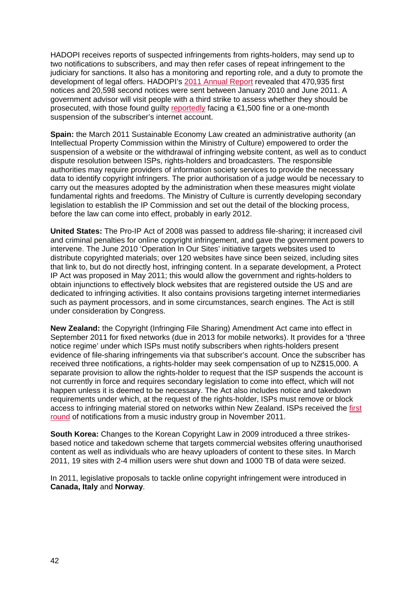HADOPI receives reports of suspected infringements from rights-holders, may send up to two notifications to subscribers, and may then refer cases of repeat infringement to the judiciary for sanctions. It also has a monitoring and reporting role, and a duty to promote the development of legal offers. HADOPI's [2011 Annual Report](http://www.hadopi.fr/actualites/agenda/presentation-du-rapport-d-activite-de-l-hadopi) revealed that 470,935 first notices and 20,598 second notices were sent between January 2010 and June 2011. A government advisor will visit people with a third strike to assess whether they should be prosecuted, with those found guilty [reportedly](http://www.bbc.co.uk/news/mobile/technology-15198093) facing a €1,500 fine or a one-month suspension of the subscriber's internet account.

**Spain:** the March 2011 Sustainable Economy Law created an administrative authority (an Intellectual Property Commission within the Ministry of Culture) empowered to order the suspension of a website or the withdrawal of infringing website content, as well as to conduct dispute resolution between ISPs, rights-holders and broadcasters. The responsible authorities may require providers of information society services to provide the necessary data to identify copyright infringers. The prior authorisation of a judge would be necessary to carry out the measures adopted by the administration when these measures might violate fundamental rights and freedoms. The Ministry of Culture is currently developing secondary legislation to establish the IP Commission and set out the detail of the blocking process, before the law can come into effect, probably in early 2012.

**United States:** The Pro-IP Act of 2008 was passed to address file-sharing; it increased civil and criminal penalties for online copyright infringement, and gave the government powers to intervene. The June 2010 'Operation In Our Sites' initiative targets websites used to distribute copyrighted materials; over 120 websites have since been seized, including sites that link to, but do not directly host, infringing content. In a separate development, a Protect IP Act was proposed in May 2011; this would allow the government and rights-holders to obtain injunctions to effectively block websites that are registered outside the US and are dedicated to infringing activities. It also contains provisions targeting internet intermediaries such as payment processors, and in some circumstances, search engines. The Act is still under consideration by Congress.

**New Zealand:** the Copyright (Infringing File Sharing) Amendment Act came into effect in September 2011 for fixed networks (due in 2013 for mobile networks). It provides for a 'three notice regime' under which ISPs must notify subscribers when rights-holders present evidence of file-sharing infringements via that subscriber's account. Once the subscriber has received three notifications, a rights-holder may seek compensation of up to NZ\$15,000. A separate provision to allow the rights-holder to request that the ISP suspends the account is not currently in force and requires secondary legislation to come into effect, which will not happen unless it is deemed to be necessary. The Act also includes notice and takedown requirements under which, at the request of the rights-holder, ISPs must remove or block access to infringing material stored on networks within New Zealand. ISPs received the [first](http://www.nzherald.co.nz/business/news/article.cfm?c_id=3&objectid=10763463)  [round](http://www.nzherald.co.nz/business/news/article.cfm?c_id=3&objectid=10763463) of notifications from a music industry group in November 2011.

**South Korea:** Changes to the Korean Copyright Law in 2009 introduced a three strikesbased notice and takedown scheme that targets commercial websites offering unauthorised content as well as individuals who are heavy uploaders of content to these sites. In March 2011, 19 sites with 2-4 million users were shut down and 1000 TB of data were seized.

In 2011, legislative proposals to tackle online copyright infringement were introduced in **Canada, Italy** and **Norway**.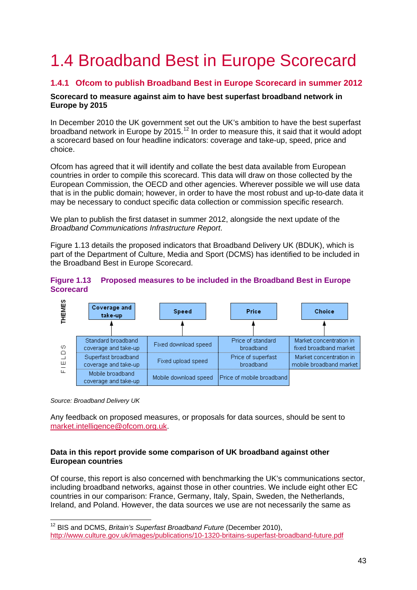# <span id="page-31-0"></span>1.4 Broadband Best in Europe Scorecard

# <span id="page-31-1"></span>**1.4.1 Ofcom to publish Broadband Best in Europe Scorecard in summer 2012**

## **Scorecard to measure against aim to have best superfast broadband network in Europe by 2015**

In December 2010 the UK government set out the UK's ambition to have the best superfast broadband network in Europe by 2015.<sup>[12](#page-31-3)</sup> In order to measure this, it said that it would adopt a scorecard based on four headline indicators: coverage and take-up, speed, price and choice.

Ofcom has agreed that it will identify and collate the best data available from European countries in order to compile this scorecard. This data will draw on those collected by the European Commission, the OECD and other agencies. Wherever possible we will use data that is in the public domain; however, in order to have the most robust and up-to-date data it may be necessary to conduct specific data collection or commission specific research.

We plan to publish the first dataset in summer 2012, alongside the next update of the *Broadband Communications Infrastructure Report*.

[Figure 1.13](#page-31-2) details the proposed indicators that Broadband Delivery UK (BDUK), which is part of the Department of Culture, Media and Sport (DCMS) has identified to be included in the Broadband Best in Europe Scorecard.

## <span id="page-31-2"></span>**Figure 1.13 Proposed measures to be included in the Broadband Best in Europe Scorecard**



*Source: Broadband Delivery UK*

Any feedback on proposed measures, or proposals for data sources, should be sent to [market.intelligence@ofcom.org.uk.](mailto:market.intelligence@ofcom.org.uk)

## **Data in this report provide some comparison of UK broadband against other European countries**

Of course, this report is also concerned with benchmarking the UK's communications sector, including broadband networks, against those in other countries. We include eight other EC countries in our comparison: France, Germany, Italy, Spain, Sweden, the Netherlands, Ireland, and Poland. However, the data sources we use are not necessarily the same as

<span id="page-31-3"></span> <sup>12</sup> BIS and DCMS, *Britain's Superfast Broadband Future* (December 2010), <http://www.culture.gov.uk/images/publications/10-1320-britains-superfast-broadband-future.pdf>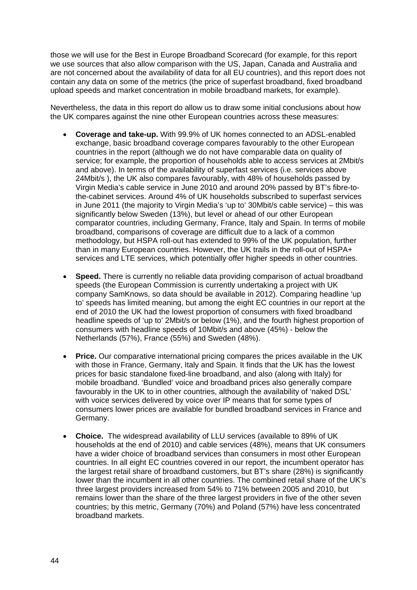those we will use for the Best in Europe Broadband Scorecard (for example, for this report we use sources that also allow comparison with the US, Japan, Canada and Australia and are not concerned about the availability of data for all EU countries), and this report does not contain any data on some of the metrics (the price of superfast broadband, fixed broadband upload speeds and market concentration in mobile broadband markets, for example).

Nevertheless, the data in this report do allow us to draw some initial conclusions about how the UK compares against the nine other European countries across these measures:

- **Coverage and take-up.** With 99.9% of UK homes connected to an ADSL-enabled exchange, basic broadband coverage compares favourably to the other European countries in the report (although we do not have comparable data on quality of service; for example, the proportion of households able to access services at 2Mbit/s and above). In terms of the availability of superfast services (i.e. services above 24Mbit/s ), the UK also compares favourably, with 48% of households passed by Virgin Media's cable service in June 2010 and around 20% passed by BT's fibre-tothe-cabinet services. Around 4% of UK households subscribed to superfast services in June 2011 (the majority to Virgin Media's 'up to' 30Mbit/s cable service) – this was significantly below Sweden (13%), but level or ahead of our other European comparator countries, including Germany, France, Italy and Spain. In terms of mobile broadband, comparisons of coverage are difficult due to a lack of a common methodology, but HSPA roll-out has extended to 99% of the UK population, further than in many European countries. However, the UK trails in the roll-out of HSPA+ services and LTE services, which potentially offer higher speeds in other countries.
- **Speed.** There is currently no reliable data providing comparison of actual broadband speeds (the European Commission is currently undertaking a project with UK company SamKnows, so data should be available in 2012). Comparing headline 'up to' speeds has limited meaning, but among the eight EC countries in our report at the end of 2010 the UK had the lowest proportion of consumers with fixed broadband headline speeds of 'up to' 2Mbit/s or below (1%), and the fourth highest proportion of consumers with headline speeds of 10Mbit/s and above (45%) - below the Netherlands (57%), France (55%) and Sweden (48%).
- **Price.** Our comparative international pricing compares the prices available in the UK with those in France, Germany, Italy and Spain. It finds that the UK has the lowest prices for basic standalone fixed-line broadband, and also (along with Italy) for mobile broadband. 'Bundled' voice and broadband prices also generally compare favourably in the UK to in other countries, although the availability of 'naked DSL' with voice services delivered by voice over IP means that for some types of consumers lower prices are available for bundled broadband services in France and Germany.
- **Choice.** The widespread availability of LLU services (available to 89% of UK households at the end of 2010) and cable services (48%), means that UK consumers have a wider choice of broadband services than consumers in most other European countries. In all eight EC countries covered in our report, the incumbent operator has the largest retail share of broadband customers, but BT's share (28%) is significantly lower than the incumbent in all other countries. The combined retail share of the UK's three largest providers increased from 54% to 71% between 2005 and 2010, but remains lower than the share of the three largest providers in five of the other seven countries; by this metric, Germany (70%) and Poland (57%) have less concentrated broadband markets.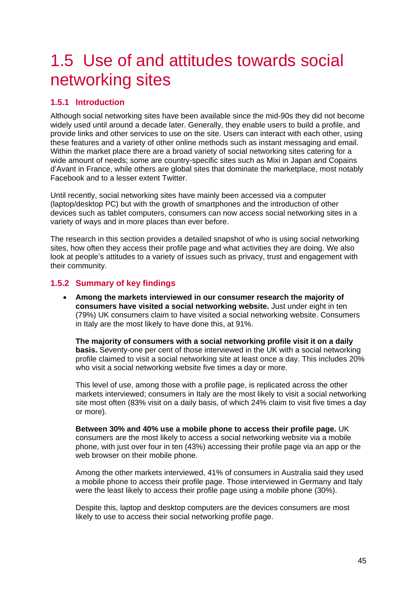# <span id="page-33-0"></span>1.5 Use of and attitudes towards social networking sites

# <span id="page-33-1"></span>**1.5.1 Introduction**

Although social networking sites have been available since the mid-90s they did not become widely used until around a decade later. Generally, they enable users to build a profile, and provide links and other services to use on the site. Users can interact with each other, using these features and a variety of other online methods such as instant messaging and email. Within the market place there are a broad variety of social networking sites catering for a wide amount of needs; some are country-specific sites such as Mixi in Japan and Copains d'Avant in France, while others are global sites that dominate the marketplace, most notably Facebook and to a lesser extent Twitter.

Until recently, social networking sites have mainly been accessed via a computer (laptop/desktop PC) but with the growth of smartphones and the introduction of other devices such as tablet computers, consumers can now access social networking sites in a variety of ways and in more places than ever before.

The research in this section provides a detailed snapshot of who is using social networking sites, how often they access their profile page and what activities they are doing. We also look at people's attitudes to a variety of issues such as privacy, trust and engagement with their community.

# <span id="page-33-2"></span>**1.5.2 Summary of key findings**

• **Among the markets interviewed in our consumer research the majority of consumers have visited a social networking website.** Just under eight in ten (79%) UK consumers claim to have visited a social networking website. Consumers in Italy are the most likely to have done this, at 91%.

**The majority of consumers with a social networking profile visit it on a daily basis.** Seventy-one per cent of those interviewed in the UK with a social networking profile claimed to visit a social networking site at least once a day. This includes 20% who visit a social networking website five times a day or more.

This level of use, among those with a profile page, is replicated across the other markets interviewed; consumers in Italy are the most likely to visit a social networking site most often (83% visit on a daily basis, of which 24% claim to visit five times a day or more).

**Between 30% and 40% use a mobile phone to access their profile page.** UK consumers are the most likely to access a social networking website via a mobile phone, with just over four in ten (43%) accessing their profile page via an app or the web browser on their mobile phone.

Among the other markets interviewed, 41% of consumers in Australia said they used a mobile phone to access their profile page. Those interviewed in Germany and Italy were the least likely to access their profile page using a mobile phone (30%).

Despite this, laptop and desktop computers are the devices consumers are most likely to use to access their social networking profile page.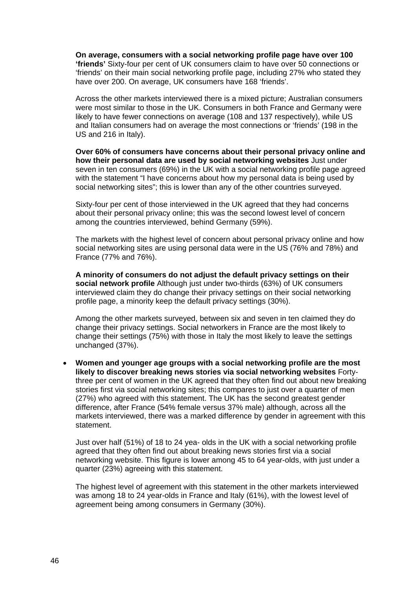**On average, consumers with a social networking profile page have over 100 'friends'** Sixty-four per cent of UK consumers claim to have over 50 connections or 'friends' on their main social networking profile page, including 27% who stated they have over 200. On average, UK consumers have 168 'friends'.

Across the other markets interviewed there is a mixed picture; Australian consumers were most similar to those in the UK. Consumers in both France and Germany were likely to have fewer connections on average (108 and 137 respectively), while US and Italian consumers had on average the most connections or 'friends' (198 in the US and 216 in Italy).

**Over 60% of consumers have concerns about their personal privacy online and how their personal data are used by social networking websites** Just under seven in ten consumers (69%) in the UK with a social networking profile page agreed with the statement "I have concerns about how my personal data is being used by social networking sites"; this is lower than any of the other countries surveyed.

Sixty-four per cent of those interviewed in the UK agreed that they had concerns about their personal privacy online; this was the second lowest level of concern among the countries interviewed, behind Germany (59%).

The markets with the highest level of concern about personal privacy online and how social networking sites are using personal data were in the US (76% and 78%) and France (77% and 76%).

**A minority of consumers do not adjust the default privacy settings on their social network profile** Although just under two-thirds (63%) of UK consumers interviewed claim they do change their privacy settings on their social networking profile page, a minority keep the default privacy settings (30%).

Among the other markets surveyed, between six and seven in ten claimed they do change their privacy settings. Social networkers in France are the most likely to change their settings (75%) with those in Italy the most likely to leave the settings unchanged (37%).

• **Women and younger age groups with a social networking profile are the most likely to discover breaking news stories via social networking websites** Fortythree per cent of women in the UK agreed that they often find out about new breaking stories first via social networking sites; this compares to just over a quarter of men (27%) who agreed with this statement. The UK has the second greatest gender difference, after France (54% female versus 37% male) although, across all the markets interviewed, there was a marked difference by gender in agreement with this statement.

Just over half (51%) of 18 to 24 yea- olds in the UK with a social networking profile agreed that they often find out about breaking news stories first via a social networking website. This figure is lower among 45 to 64 year-olds, with just under a quarter (23%) agreeing with this statement.

The highest level of agreement with this statement in the other markets interviewed was among 18 to 24 year-olds in France and Italy (61%), with the lowest level of agreement being among consumers in Germany (30%).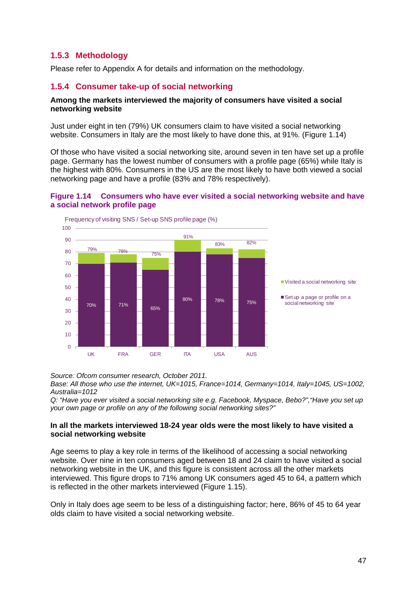# **1.5.3 Methodology**

<span id="page-35-0"></span>Please refer to Appendix A for details and information on the methodology.

## <span id="page-35-1"></span>**1.5.4 Consumer take-up of social networking**

#### **Among the markets interviewed the majority of consumers have visited a social networking website**

Just under eight in ten (79%) UK consumers claim to have visited a social networking website. Consumers in Italy are the most likely to have done this, at 91%. [\(Figure 1.14\)](#page-35-2)

Of those who have visited a social networking site, around seven in ten have set up a profile page. Germany has the lowest number of consumers with a profile page (65%) while Italy is the highest with 80%. Consumers in the US are the most likely to have both viewed a social networking page and have a profile (83% and 78% respectively).

#### <span id="page-35-2"></span>**Figure 1.14 Consumers who have ever visited a social networking website and have a social network profile page**



*Source: Ofcom consumer research, October 2011.* 

*Base: All those who use the internet, UK=1015, France=1014, Germany=1014, Italy=1045, US=1002, Australia=1012* 

*Q: "Have you ever visited a social networking site e.g. Facebook, Myspace, Bebo?","Have you set up your own page or profile on any of the following social networking sites?"*

#### **In all the markets interviewed 18-24 year olds were the most likely to have visited a social networking website**

Age seems to play a key role in terms of the likelihood of accessing a social networking website. Over nine in ten consumers aged between 18 and 24 claim to have visited a social networking website in the UK, and this figure is consistent across all the other markets interviewed. This figure drops to 71% among UK consumers aged 45 to 64, a pattern which is reflected in the other markets interviewed [\(Figure 1.15\)](#page-36-0).

Only in Italy does age seem to be less of a distinguishing factor; here, 86% of 45 to 64 year olds claim to have visited a social networking website.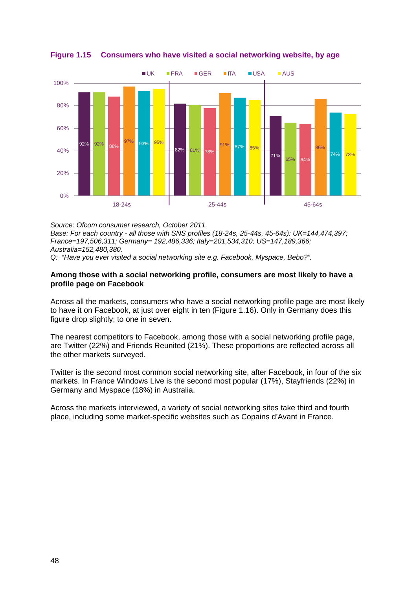

<span id="page-36-0"></span>**Figure 1.15 Consumers who have visited a social networking website, by age**

*Source: Ofcom consumer research, October 2011. Base: For each country - all those with SNS profiles (18-24s, 25-44s, 45-64s): UK=144,474,397; France=197,506,311; Germany= 192,486,336; Italy=201,534,310; US=147,189,366; Australia=152,480,380.*

*Q: "Have you ever visited a social networking site e.g. Facebook, Myspace, Bebo?".*

#### **Among those with a social networking profile, consumers are most likely to have a profile page on Facebook**

Across all the markets, consumers who have a social networking profile page are most likely to have it on Facebook, at just over eight in ten [\(Figure 1.16\)](#page-37-0). Only in Germany does this figure drop slightly; to one in seven.

The nearest competitors to Facebook, among those with a social networking profile page, are Twitter (22%) and Friends Reunited (21%). These proportions are reflected across all the other markets surveyed.

Twitter is the second most common social networking site, after Facebook, in four of the six markets. In France Windows Live is the second most popular (17%), Stayfriends (22%) in Germany and Myspace (18%) in Australia.

Across the markets interviewed, a variety of social networking sites take third and fourth place, including some market-specific websites such as Copains d'Avant in France.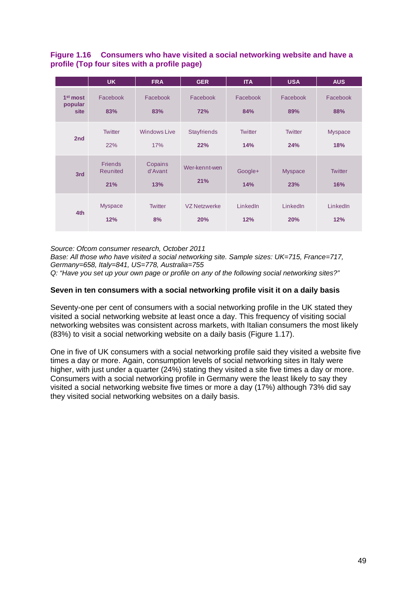## <span id="page-37-0"></span>**Figure 1.16 Consumers who have visited a social networking website and have a profile (Top four sites with a profile page)**

|                                         | <b>UK</b>                         | <b>FRA</b>                 | <b>GER</b>                 | <b>ITA</b>            | <b>USA</b>            | <b>AUS</b>            |
|-----------------------------------------|-----------------------------------|----------------------------|----------------------------|-----------------------|-----------------------|-----------------------|
| 1 <sup>st</sup> most<br>popular<br>site | Facebook<br>83%                   | Facebook<br>83%            | Facebook<br>72%            | Facebook<br>84%       | Facebook<br>89%       | Facebook<br>88%       |
| 2nd                                     | <b>Twitter</b><br>22%             | <b>Windows Live</b><br>17% | <b>Stayfriends</b><br>22%  | <b>Twitter</b><br>14% | <b>Twitter</b><br>24% | <b>Myspace</b><br>18% |
| 3rd                                     | <b>Friends</b><br>Reunited<br>21% | Copains<br>d'Avant<br>13%  | Wer-kennt-wen<br>21%       | Google+<br>14%        | <b>Myspace</b><br>23% | <b>Twitter</b><br>16% |
| 4th                                     | <b>Myspace</b><br>12%             | <b>Twitter</b><br>8%       | <b>VZ Netzwerke</b><br>20% | LinkedIn<br>12%       | LinkedIn<br>20%       | LinkedIn<br>12%       |

*Source: Ofcom consumer research, October 2011*

*Base: All those who have visited a social networking site. Sample sizes: UK=715, France=717, Germany=658, Italy=841, US=778, Australia=755* 

*Q: "Have you set up your own page or profile on any of the following social networking sites?"*

## **Seven in ten consumers with a social networking profile visit it on a daily basis**

Seventy-one per cent of consumers with a social networking profile in the UK stated they visited a social networking website at least once a day. This frequency of visiting social networking websites was consistent across markets, with Italian consumers the most likely (83%) to visit a social networking website on a daily basis [\(Figure 1.17\)](#page-38-0).

One in five of UK consumers with a social networking profile said they visited a website five times a day or more. Again, consumption levels of social networking sites in Italy were higher, with just under a quarter (24%) stating they visited a site five times a day or more. Consumers with a social networking profile in Germany were the least likely to say they visited a social networking website five times or more a day (17%) although 73% did say they visited social networking websites on a daily basis.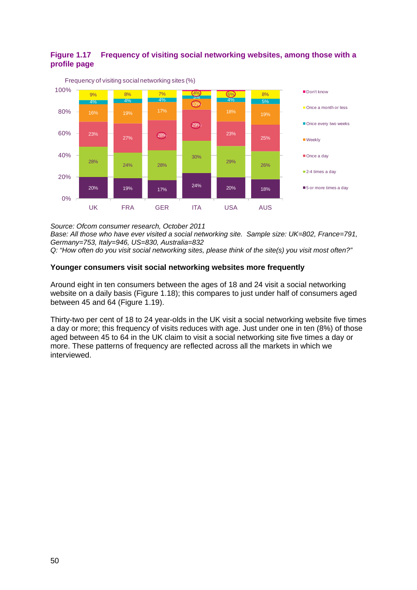## <span id="page-38-0"></span>**Figure 1.17 Frequency of visiting social networking websites, among those with a profile page**



*Source: Ofcom consumer research, October 2011 Base: All those who have ever visited a social networking site. Sample size: UK=802, France=791, Germany=753, Italy=946, US=830, Australia=832 Q: "How often do you visit social networking sites, please think of the site(s) you visit most often?"*

## **Younger consumers visit social networking websites more frequently**

Around eight in ten consumers between the ages of 18 and 24 visit a social networking website on a daily basis [\(Figure 1.18\)](#page-39-0); this compares to just under half of consumers aged between 45 and 64 [\(Figure 1.19\)](#page-39-1).

Thirty-two per cent of 18 to 24 year-olds in the UK visit a social networking website five times a day or more; this frequency of visits reduces with age. Just under one in ten (8%) of those aged between 45 to 64 in the UK claim to visit a social networking site five times a day or more. These patterns of frequency are reflected across all the markets in which we interviewed.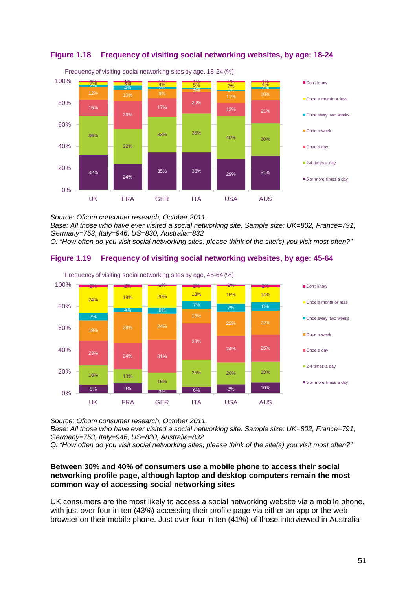

<span id="page-39-0"></span>

*Source: Ofcom consumer research, October 2011.*

*Base: All those who have ever visited a social networking site. Sample size: UK=802, France=791, Germany=753, Italy=946, US=830, Australia=832*

*Q: "How often do you visit social networking sites, please think of the site(s) you visit most often?"*

# <span id="page-39-1"></span>**Figure 1.19 Frequency of visiting social networking websites, by age: 45-64**



Frequency of visiting social networking sites by age, 45-64 (%)

*Source: Ofcom consumer research, October 2011.*

*Base: All those who have ever visited a social networking site. Sample size: UK=802, France=791, Germany=753, Italy=946, US=830, Australia=832*

*Q: "How often do you visit social networking sites, please think of the site(s) you visit most often?"*

## **Between 30% and 40% of consumers use a mobile phone to access their social networking profile page, although laptop and desktop computers remain the most common way of accessing social networking sites**

UK consumers are the most likely to access a social networking website via a mobile phone, with just over four in ten (43%) accessing their profile page via either an app or the web browser on their mobile phone. Just over four in ten (41%) of those interviewed in Australia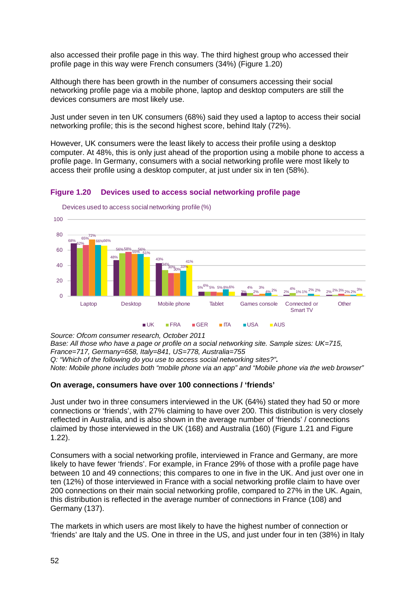also accessed their profile page in this way. The third highest group who accessed their profile page in this way were French consumers (34%) [\(Figure 1.20\)](#page-40-0)

Although there has been growth in the number of consumers accessing their social networking profile page via a mobile phone, laptop and desktop computers are still the devices consumers are most likely use.

Just under seven in ten UK consumers (68%) said they used a laptop to access their social networking profile; this is the second highest score, behind Italy (72%).

However, UK consumers were the least likely to access their profile using a desktop computer. At 48%, this is only just ahead of the proportion using a mobile phone to access a profile page. In Germany, consumers with a social networking profile were most likely to access their profile using a desktop computer, at just under six in ten (58%).

## <span id="page-40-0"></span>**Figure 1.20 Devices used to access social networking profile page**



Devices used to access social networking profile (%)

*Source: Ofcom consumer research, October 2011 Base: All those who have a page or profile on a social networking site. Sample sizes: UK=715, France=717, Germany=658, Italy=841, US=778, Australia=755 Q: "Which of the following do you use to access social networking sites?". Note: Mobile phone includes both "mobile phone via an app" and "Mobile phone via the web browser"*

#### **On average, consumers have over 100 connections / 'friends'**

Just under two in three consumers interviewed in the UK (64%) stated they had 50 or more connections or 'friends', with 27% claiming to have over 200. This distribution is very closely reflected in Australia, and is also shown in the average number of 'friends' / connections claimed by those interviewed in the UK (168) and Australia (160) [\(Figure 1.21](#page-41-0) and [Figure](#page-41-1)  [1.22\)](#page-41-1).

Consumers with a social networking profile, interviewed in France and Germany, are more likely to have fewer 'friends'. For example, in France 29% of those with a profile page have between 10 and 49 connections; this compares to one in five in the UK. And just over one in ten (12%) of those interviewed in France with a social networking profile claim to have over 200 connections on their main social networking profile, compared to 27% in the UK. Again, this distribution is reflected in the average number of connections in France (108) and Germany (137).

The markets in which users are most likely to have the highest number of connection or 'friends' are Italy and the US. One in three in the US, and just under four in ten (38%) in Italy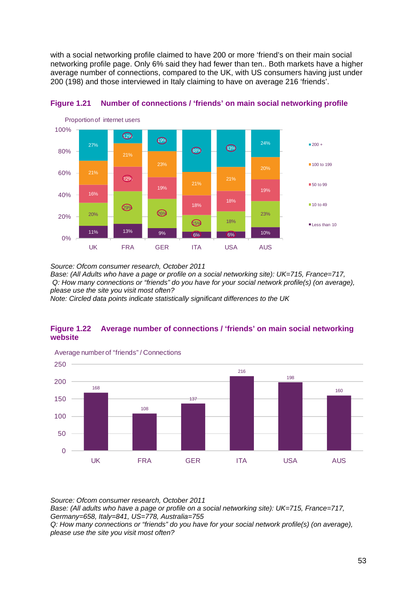with a social networking profile claimed to have 200 or more 'friend's on their main social networking profile page. Only 6% said they had fewer than ten.. Both markets have a higher average number of connections, compared to the UK, with US consumers having just under 200 (198) and those interviewed in Italy claiming to have on average 216 'friends'.



<span id="page-41-0"></span>

*Source: Ofcom consumer research, October 2011*

*Base: (All Adults who have a page or profile on a social networking site): UK=715, France=717, Q: How many connections or "friends" do you have for your social network profile(s) (on average), please use the site you visit most often?*

*Note: Circled data points indicate statistically significant differences to the UK*

## <span id="page-41-1"></span>**Figure 1.22 Average number of connections / 'friends' on main social networking website**



Average number of "friends" / Connections

*Source: Ofcom consumer research, October 2011 Base: (All adults who have a page or profile on a social networking site): UK=715, France=717, Germany=658, Italy=841, US=778, Australia=755 Q: How many connections or "friends" do you have for your social network profile(s) (on average), please use the site you visit most often?*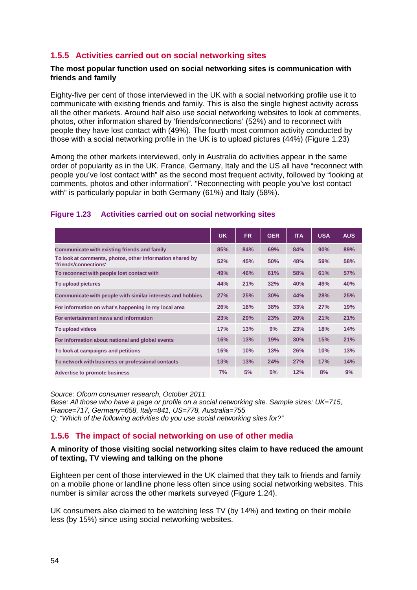# **1.5.5 Activities carried out on social networking sites**

#### <span id="page-42-0"></span>**The most popular function used on social networking sites is communication with friends and family**

Eighty-five per cent of those interviewed in the UK with a social networking profile use it to communicate with existing friends and family. This is also the single highest activity across all the other markets. Around half also use social networking websites to look at comments, photos, other information shared by 'friends/connections' (52%) and to reconnect with people they have lost contact with (49%). The fourth most common activity conducted by those with a social networking profile in the UK is to upload pictures (44%) [\(Figure 1.23\)](#page-42-2)

Among the other markets interviewed, only in Australia do activities appear in the same order of popularity as in the UK. France, Germany, Italy and the US all have "reconnect with people you've lost contact with" as the second most frequent activity, followed by "looking at comments, photos and other information". "Reconnecting with people you've lost contact with" is particularly popular in both Germany (61%) and Italy (58%).

## <span id="page-42-2"></span>**Figure 1.23 Activities carried out on social networking sites**

|                                                                                   | UK. | FR. | <b>GER</b> | <b>ITA</b> | <b>USA</b> | <b>AUS</b> |
|-----------------------------------------------------------------------------------|-----|-----|------------|------------|------------|------------|
| Communicate with existing friends and family                                      | 85% | 84% | 69%        | 84%        | 90%        | 89%        |
| To look at comments, photos, other information shared by<br>'friends/connections' | 52% | 45% | 50%        | 48%        | 59%        | 58%        |
| To reconnect with people lost contact with                                        | 49% | 46% | 61%        | 58%        | 61%        | <b>57%</b> |
| To upload pictures                                                                | 44% | 21% | 32%        | 40%        | 49%        | 40%        |
| Communicate with people with similar interests and hobbies                        | 27% | 25% | 30%        | 44%        | 28%        | 25%        |
| For information on what's happening in my local area                              | 26% | 18% | 38%        | 33%        | 27%        | 19%        |
| For entertainment news and information                                            | 23% | 29% | 23%        | 20%        | 21%        | 21%        |
| To upload videos                                                                  | 17% | 13% | 9%         | 23%        | 18%        | 14%        |
| For information about national and global events                                  | 16% | 13% | 19%        | 30%        | 15%        | 21%        |
| To look at campaigns and petitions                                                | 16% | 10% | 13%        | 26%        | 10%        | 13%        |
| To network with business or professional contacts                                 | 13% | 13% | 24%        | 27%        | 17%        | 14%        |
| <b>Advertise to promote business</b>                                              | 7%  | 5%  | 5%         | 12%        | 8%         | 9%         |

*Source: Ofcom consumer research, October 2011. Base: All those who have a page or profile on a social networking site. Sample sizes: UK=715, France=717, Germany=658, Italy=841, US=778, Australia=755 Q: "Which of the following activities do you use social networking sites for?"*

# <span id="page-42-1"></span>**1.5.6 The impact of social networking on use of other media**

#### **A minority of those visiting social networking sites claim to have reduced the amount of texting, TV viewing and talking on the phone**

Eighteen per cent of those interviewed in the UK claimed that they talk to friends and family on a mobile phone or landline phone less often since using social networking websites. This number is similar across the other markets surveyed [\(Figure 1.24\)](#page-43-0).

UK consumers also claimed to be watching less TV (by 14%) and texting on their mobile less (by 15%) since using social networking websites.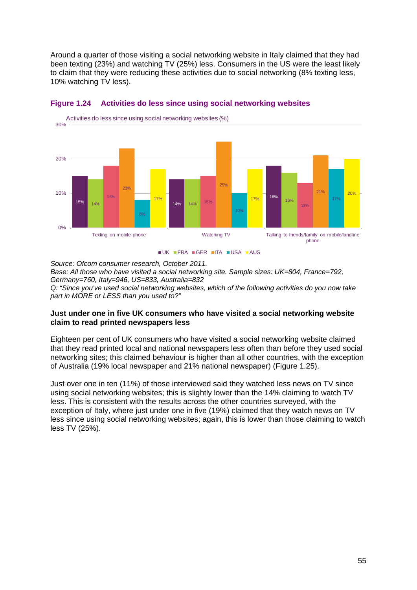Around a quarter of those visiting a social networking website in Italy claimed that they had been texting (23%) and watching TV (25%) less. Consumers in the US were the least likely to claim that they were reducing these activities due to social networking (8% texting less, 10% watching TV less).



#### <span id="page-43-0"></span>**Figure 1.24 Activities do less since using social networking websites**

 $\blacksquare$ UK  $\blacksquare$ FRA  $\blacksquare$ GFR  $\blacksquare$ ITA  $\blacksquare$ USA  $\blacksquare$ AUS

*Source: Ofcom consumer research, October 2011. Base: All those who have visited a social networking site. Sample sizes: UK=804, France=792, Germany=760, Italy=946, US=833, Australia=832 Q: "Since you've used social networking websites, which of the following activities do you now take part in MORE or LESS than you used to?"*

## **Just under one in five UK consumers who have visited a social networking website claim to read printed newspapers less**

Eighteen per cent of UK consumers who have visited a social networking website claimed that they read printed local and national newspapers less often than before they used social networking sites; this claimed behaviour is higher than all other countries, with the exception of Australia (19% local newspaper and 21% national newspaper) [\(Figure 1.25\)](#page-44-0).

Just over one in ten (11%) of those interviewed said they watched less news on TV since using social networking websites; this is slightly lower than the 14% claiming to watch TV less. This is consistent with the results across the other countries surveyed, with the exception of Italy, where just under one in five (19%) claimed that they watch news on TV less since using social networking websites; again, this is lower than those claiming to watch less TV (25%).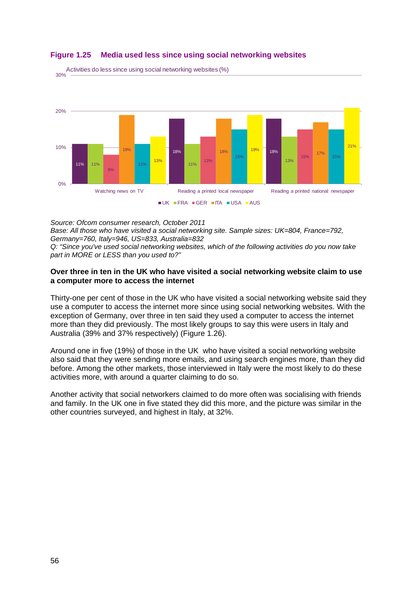

## <span id="page-44-0"></span>**Figure 1.25 Media used less since using social networking websites**

30% Activities do less since using social networking websites (%)

*Source: Ofcom consumer research, October 2011 Base: All those who have visited a social networking site. Sample sizes: UK=804, France=792, Germany=760, Italy=946, US=833, Australia=832 Q: "Since you've used social networking websites, which of the following activities do you now take part in MORE or LESS than you used to?"*

#### **Over three in ten in the UK who have visited a social networking website claim to use a computer more to access the internet**

Thirty-one per cent of those in the UK who have visited a social networking website said they use a computer to access the internet more since using social networking websites. With the exception of Germany, over three in ten said they used a computer to access the internet more than they did previously. The most likely groups to say this were users in Italy and Australia (39% and 37% respectively) [\(Figure 1.26\)](#page-45-1).

Around one in five (19%) of those in the UK who have visited a social networking website also said that they were sending more emails, and using search engines more, than they did before. Among the other markets, those interviewed in Italy were the most likely to do these activities more, with around a quarter claiming to do so.

Another activity that social networkers claimed to do more often was socialising with friends and family. In the UK one in five stated they did this more, and the picture was similar in the other countries surveyed, and highest in Italy, at 32%.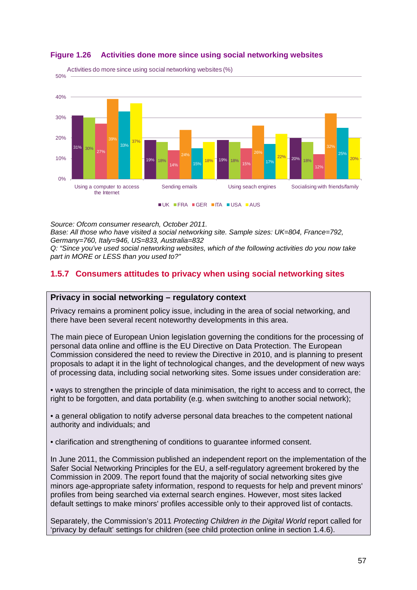

## <span id="page-45-1"></span>**Figure 1.26 Activities done more since using social networking websites**

*Source: Ofcom consumer research, October 2011.* 

*Base: All those who have visited a social networking site. Sample sizes: UK=804, France=792, Germany=760, Italy=946, US=833, Australia=832 Q: "Since you've used social networking websites, which of the following activities do you now take part in MORE or LESS than you used to?"*

# <span id="page-45-0"></span>**1.5.7 Consumers attitudes to privacy when using social networking sites**

# **Privacy in social networking – regulatory context**

Privacy remains a prominent policy issue, including in the area of social networking, and there have been several recent noteworthy developments in this area.

The main piece of European Union legislation governing the conditions for the processing of personal data online and offline is the EU Directive on Data Protection. The European Commission considered the need to review the Directive in 2010, and is planning to present proposals to adapt it in the light of technological changes, and the development of new ways of processing data, including social networking sites. Some issues under consideration are:

• ways to strengthen the principle of data minimisation, the right to access and to correct, the right to be forgotten, and data portability (e.g. when switching to another social network);

• a general obligation to notify adverse personal data breaches to the competent national authority and individuals; and

• clarification and strengthening of conditions to guarantee informed consent.

In June 2011, the Commission published an independent report on the implementation of the Safer Social Networking Principles for the EU, a self-regulatory agreement brokered by the Commission in 2009. The report found that the majority of social networking sites give minors age-appropriate safety information, respond to requests for help and prevent minors' profiles from being searched via external search engines. However, most sites lacked default settings to make minors' profiles accessible only to their approved list of contacts.

Separately, the Commission's 2011 *Protecting Children in the Digital World* report called for 'privacy by default' settings for children (see child protection online in section 1.4.6).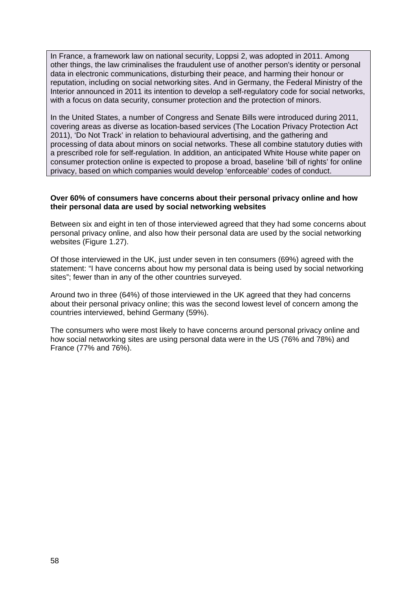In France, a framework law on national security, Loppsi 2, was adopted in 2011. Among other things, the law criminalises the fraudulent use of another person's identity or personal data in electronic communications, disturbing their peace, and harming their honour or reputation, including on social networking sites. And in Germany, the Federal Ministry of the Interior announced in 2011 its intention to develop a self-regulatory code for social networks, with a focus on data security, consumer protection and the protection of minors.

In the United States, a number of Congress and Senate Bills were introduced during 2011, covering areas as diverse as location-based services (The Location Privacy Protection Act 2011), 'Do Not Track' in relation to behavioural advertising, and the gathering and processing of data about minors on social networks. These all combine statutory duties with a prescribed role for self-regulation. In addition, an anticipated White House white paper on consumer protection online is expected to propose a broad, baseline 'bill of rights' for online privacy, based on which companies would develop 'enforceable' codes of conduct.

#### **Over 60% of consumers have concerns about their personal privacy online and how their personal data are used by social networking websites**

Between six and eight in ten of those interviewed agreed that they had some concerns about personal privacy online, and also how their personal data are used by the social networking websites [\(Figure 1.27\)](#page-47-0).

Of those interviewed in the UK, just under seven in ten consumers (69%) agreed with the statement: "I have concerns about how my personal data is being used by social networking sites"; fewer than in any of the other countries surveyed.

Around two in three (64%) of those interviewed in the UK agreed that they had concerns about their personal privacy online; this was the second lowest level of concern among the countries interviewed, behind Germany (59%).

The consumers who were most likely to have concerns around personal privacy online and how social networking sites are using personal data were in the US (76% and 78%) and France (77% and 76%).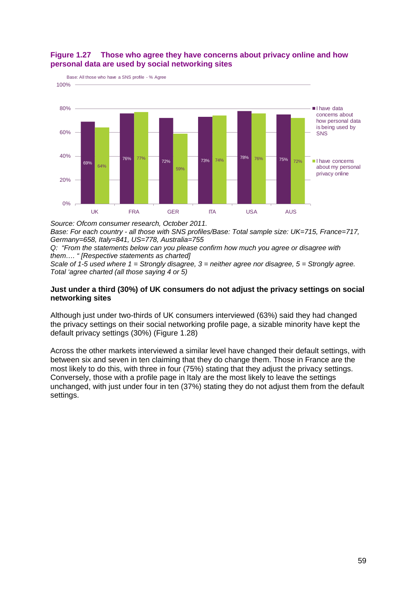

## <span id="page-47-0"></span>**Figure 1.27 Those who agree they have concerns about privacy online and how personal data are used by social networking sites**

*Source: Ofcom consumer research, October 2011. Base: For each country - all those with SNS profiles/Base: Total sample size: UK=715, France=717, Germany=658, Italy=841, US=778, Australia=755*

*Q: "From the statements below can you please confirm how much you agree or disagree with them…. " [Respective statements as charted]*

*Scale of 1-5 used where 1 = Strongly disagree, 3 = neither agree nor disagree, 5 = Strongly agree. Total 'agree charted (all those saying 4 or 5)*

### **Just under a third (30%) of UK consumers do not adjust the privacy settings on social networking sites**

Although just under two-thirds of UK consumers interviewed (63%) said they had changed the privacy settings on their social networking profile page, a sizable minority have kept the default privacy settings (30%) [\(Figure 1.28\)](#page-48-1)

Across the other markets interviewed a similar level have changed their default settings, with between six and seven in ten claiming that they do change them. Those in France are the most likely to do this, with three in four (75%) stating that they adjust the privacy settings. Conversely, those with a profile page in Italy are the most likely to leave the settings unchanged, with just under four in ten (37%) stating they do not adjust them from the default settings.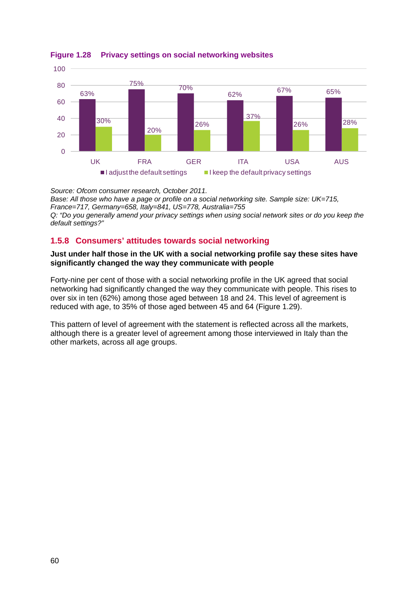

<span id="page-48-1"></span>**Figure 1.28 Privacy settings on social networking websites**

*Source: Ofcom consumer research, October 2011. Base: All those who have a page or profile on a social networking site. Sample size: UK=715, France=717, Germany=658, Italy=841, US=778, Australia=755 Q: "Do you generally amend your privacy settings when using social network sites or do you keep the default settings?"*

# <span id="page-48-0"></span>**1.5.8 Consumers' attitudes towards social networking**

### **Just under half those in the UK with a social networking profile say these sites have significantly changed the way they communicate with people**

Forty-nine per cent of those with a social networking profile in the UK agreed that social networking had significantly changed the way they communicate with people. This rises to over six in ten (62%) among those aged between 18 and 24. This level of agreement is reduced with age, to 35% of those aged between 45 and 64 [\(Figure 1.29\)](#page-49-0).

This pattern of level of agreement with the statement is reflected across all the markets, although there is a greater level of agreement among those interviewed in Italy than the other markets, across all age groups.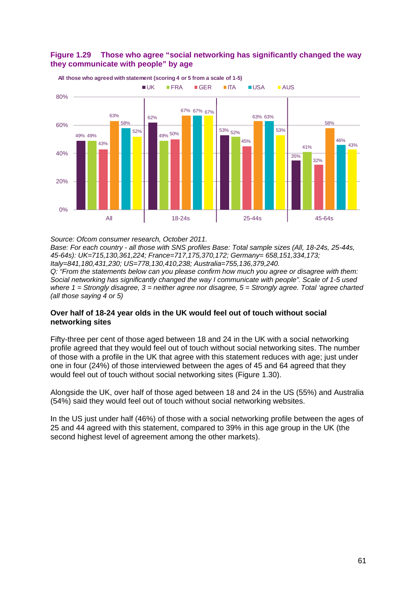<span id="page-49-0"></span>



**All those who agreed with statement (scoring 4 or 5 from a scale of 1-5)**

*Source: Ofcom consumer research, October 2011.*

*Base: For each country - all those with SNS profiles Base: Total sample sizes (All, 18-24s, 25-44s, 45-64s): UK=715,130,361,224; France=717,175,370,172; Germany= 658,151,334,173; Italy=841,180,431,230; US=778,130,410,238; Australia=755,136,379,240.*

*Q: "From the statements below can you please confirm how much you agree or disagree with them: Social networking has significantly changed the way I communicate with people". Scale of 1-5 used where 1 = Strongly disagree, 3 = neither agree nor disagree, 5 = Strongly agree. Total 'agree charted (all those saying 4 or 5)*

#### **Over half of 18-24 year olds in the UK would feel out of touch without social networking sites**

Fifty-three per cent of those aged between 18 and 24 in the UK with a social networking profile agreed that they would feel out of touch without social networking sites. The number of those with a profile in the UK that agree with this statement reduces with age; just under one in four (24%) of those interviewed between the ages of 45 and 64 agreed that they would feel out of touch without social networking sites [\(Figure 1.30\)](#page-50-0).

Alongside the UK, over half of those aged between 18 and 24 in the US (55%) and Australia (54%) said they would feel out of touch without social networking websites.

In the US just under half (46%) of those with a social networking profile between the ages of 25 and 44 agreed with this statement, compared to 39% in this age group in the UK (the second highest level of agreement among the other markets).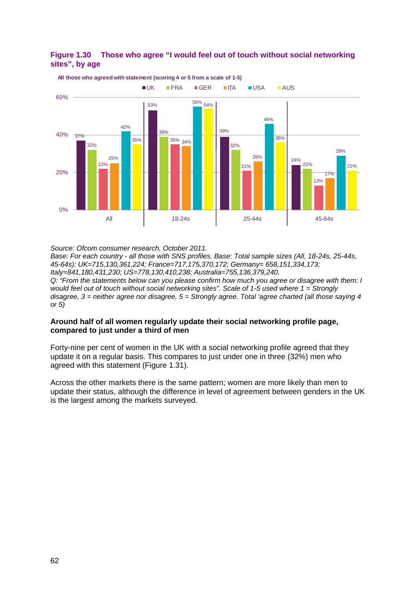

## <span id="page-50-0"></span>**Figure 1.30 Those who agree "I would feel out of touch without social networking sites", by age**

*Source: Ofcom consumer research, October 2011.* 

*Base: For each country - all those with SNS profiles. Base: Total sample sizes (All, 18-24s, 25-44s, 45-64s): UK=715,130,361,224; France=717,175,370,172; Germany= 658,151,334,173; Italy=841,180,431,230; US=778,130,410,238; Australia=755,136,379,240. Q: "From the statements below can you please confirm how much you agree or disagree with them: I would feel out of touch without social networking sites". Scale of 1-5 used where 1 = Strongly disagree, 3 = neither agree nor disagree, 5 = Strongly agree. Total 'agree charted (all those saying 4 or 5)*

## **Around half of all women regularly update their social networking profile page, compared to just under a third of men**

Forty-nine per cent of women in the UK with a social networking profile agreed that they update it on a regular basis. This compares to just under one in three (32%) men who agreed with this statement [\(Figure 1.31\)](#page-51-0).

Across the other markets there is the same pattern; women are more likely than men to update their status, although the difference in level of agreement between genders in the UK is the largest among the markets surveyed.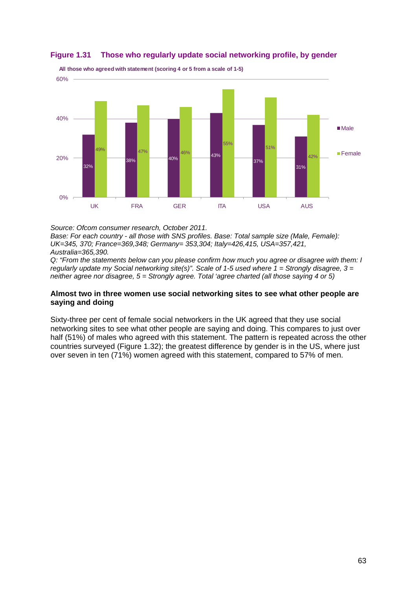

### <span id="page-51-0"></span>**Figure 1.31 Those who regularly update social networking profile, by gender**

*Source: Ofcom consumer research, October 2011.* 

*Base: For each country - all those with SNS profiles. Base: Total sample size (Male, Female): UK=345, 370; France=369,348; Germany= 353,304; Italy=426,415, USA=357,421, Australia=365,390.*

*Q: "From the statements below can you please confirm how much you agree or disagree with them: I regularly update my Social networking site(s)". Scale of 1-5 used where 1 = Strongly disagree, 3 = neither agree nor disagree, 5 = Strongly agree. Total 'agree charted (all those saying 4 or 5)*

#### **Almost two in three women use social networking sites to see what other people are saying and doing**

Sixty-three per cent of female social networkers in the UK agreed that they use social networking sites to see what other people are saying and doing. This compares to just over half (51%) of males who agreed with this statement. The pattern is repeated across the other countries surveyed [\(Figure 1.32\)](#page-52-0); the greatest difference by gender is in the US, where just over seven in ten (71%) women agreed with this statement, compared to 57% of men.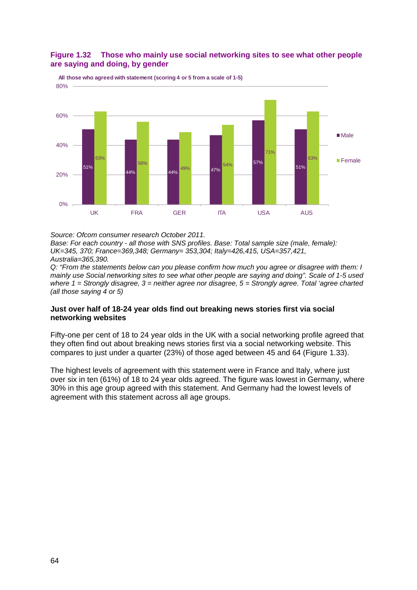### <span id="page-52-0"></span>**Figure 1.32 Those who mainly use social networking sites to see what other people are saying and doing, by gender**



**All those who agreed with statement (scoring 4 or 5 from a scale of 1-5)**

*Source: Ofcom consumer research October 2011.* 

*Base: For each country - all those with SNS profiles. Base: Total sample size (male, female): UK=345, 370; France=369,348; Germany= 353,304; Italy=426,415, USA=357,421, Australia=365,390.*

*Q: "From the statements below can you please confirm how much you agree or disagree with them: I mainly use Social networking sites to see what other people are saying and doing". Scale of 1-5 used where 1 = Strongly disagree, 3 = neither agree nor disagree, 5 = Strongly agree. Total 'agree charted (all those saying 4 or 5)*

#### **Just over half of 18-24 year olds find out breaking news stories first via social networking websites**

Fifty-one per cent of 18 to 24 year olds in the UK with a social networking profile agreed that they often find out about breaking news stories first via a social networking website. This compares to just under a quarter (23%) of those aged between 45 and 64 [\(Figure 1.33\)](#page-53-0).

The highest levels of agreement with this statement were in France and Italy, where just over six in ten (61%) of 18 to 24 year olds agreed. The figure was lowest in Germany, where 30% in this age group agreed with this statement. And Germany had the lowest levels of agreement with this statement across all age groups.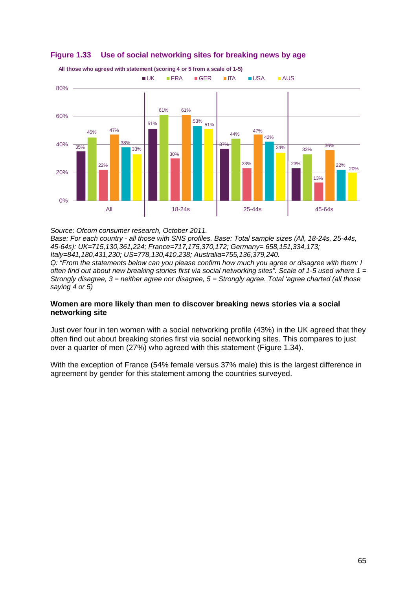

## <span id="page-53-0"></span>**Figure 1.33 Use of social networking sites for breaking news by age**

*Source: Ofcom consumer research, October 2011.* 

*Base: For each country - all those with SNS profiles. Base: Total sample sizes (All, 18-24s, 25-44s, 45-64s): UK=715,130,361,224; France=717,175,370,172; Germany= 658,151,334,173; Italy=841,180,431,230; US=778,130,410,238; Australia=755,136,379,240. Q: "From the statements below can you please confirm how much you agree or disagree with them: I* 

*often find out about new breaking stories first via social networking sites". Scale of 1-5 used where 1 = Strongly disagree, 3 = neither agree nor disagree, 5 = Strongly agree. Total 'agree charted (all those saying 4 or 5)*

#### **Women are more likely than men to discover breaking news stories via a social networking site**

Just over four in ten women with a social networking profile (43%) in the UK agreed that they often find out about breaking stories first via social networking sites. This compares to just over a quarter of men (27%) who agreed with this statement [\(Figure 1.34\)](#page-54-0).

With the exception of France (54% female versus 37% male) this is the largest difference in agreement by gender for this statement among the countries surveyed.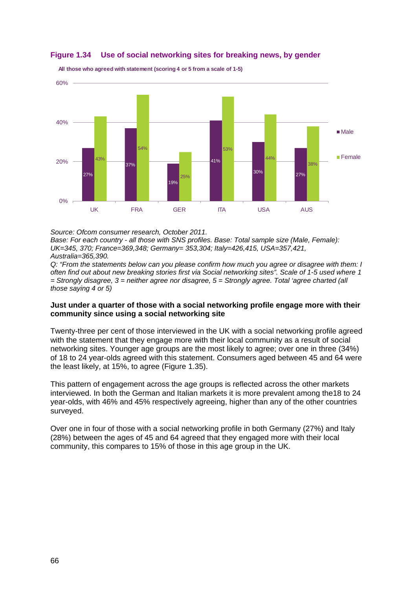

#### <span id="page-54-0"></span>**Figure 1.34 Use of social networking sites for breaking news, by gender**

**All those who agreed with statement (scoring 4 or 5 from a scale of 1-5)**

*Source: Ofcom consumer research, October 2011.* 

*Base: For each country - all those with SNS profiles. Base: Total sample size (Male, Female): UK=345, 370; France=369,348; Germany= 353,304; Italy=426,415, USA=357,421, Australia=365,390.*

*Q: "From the statements below can you please confirm how much you agree or disagree with them: I often find out about new breaking stories first via Social networking sites". Scale of 1-5 used where 1 = Strongly disagree, 3 = neither agree nor disagree, 5 = Strongly agree. Total 'agree charted (all those saying 4 or 5)*

#### **Just under a quarter of those with a social networking profile engage more with their community since using a social networking site**

Twenty-three per cent of those interviewed in the UK with a social networking profile agreed with the statement that they engage more with their local community as a result of social networking sites. Younger age groups are the most likely to agree; over one in three (34%) of 18 to 24 year-olds agreed with this statement. Consumers aged between 45 and 64 were the least likely, at 15%, to agree [\(Figure 1.35\)](#page-55-0).

This pattern of engagement across the age groups is reflected across the other markets interviewed. In both the German and Italian markets it is more prevalent among the18 to 24 year-olds, with 46% and 45% respectively agreeing, higher than any of the other countries surveyed.

Over one in four of those with a social networking profile in both Germany (27%) and Italy (28%) between the ages of 45 and 64 agreed that they engaged more with their local community, this compares to 15% of those in this age group in the UK.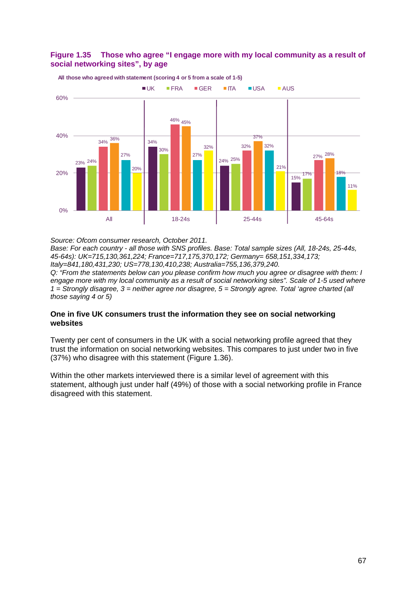

## <span id="page-55-0"></span>**Figure 1.35 Those who agree "I engage more with my local community as a result of social networking sites", by age**

*Source: Ofcom consumer research, October 2011.* 

*Base: For each country - all those with SNS profiles. Base: Total sample sizes (All, 18-24s, 25-44s, 45-64s): UK=715,130,361,224; France=717,175,370,172; Germany= 658,151,334,173; Italy=841,180,431,230; US=778,130,410,238; Australia=755,136,379,240. Q: "From the statements below can you please confirm how much you agree or disagree with them: I* 

*engage more with my local community as a result of social networking sites". Scale of 1-5 used where 1 = Strongly disagree, 3 = neither agree nor disagree, 5 = Strongly agree. Total 'agree charted (all those saying 4 or 5)*

#### **One in five UK consumers trust the information they see on social networking websites**

Twenty per cent of consumers in the UK with a social networking profile agreed that they trust the information on social networking websites. This compares to just under two in five (37%) who disagree with this statement [\(Figure 1.36\)](#page-56-0).

Within the other markets interviewed there is a similar level of agreement with this statement, although just under half (49%) of those with a social networking profile in France disagreed with this statement.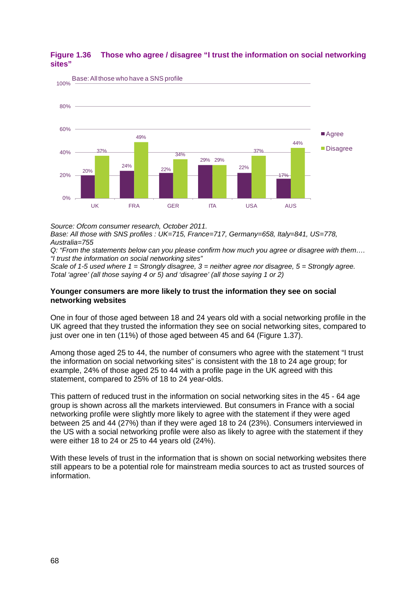

## <span id="page-56-0"></span>**Figure 1.36 Those who agree / disagree "I trust the information on social networking sites"**

*Source: Ofcom consumer research, October 2011.* 

*Base: All those with SNS profiles : UK=715, France=717, Germany=658, Italy=841, US=778, Australia=755* 

*Q: "From the statements below can you please confirm how much you agree or disagree with them…. "I trust the information on social networking sites"* 

*Scale of 1-5 used where 1 = Strongly disagree, 3 = neither agree nor disagree, 5 = Strongly agree. Total 'agree' (all those saying 4 or 5) and 'disagree' (all those saying 1 or 2)*

#### **Younger consumers are more likely to trust the information they see on social networking websites**

One in four of those aged between 18 and 24 years old with a social networking profile in the UK agreed that they trusted the information they see on social networking sites, compared to just over one in ten (11%) of those aged between 45 and 64 [\(Figure 1.37\)](#page-57-0).

Among those aged 25 to 44, the number of consumers who agree with the statement "I trust the information on social networking sites" is consistent with the 18 to 24 age group; for example, 24% of those aged 25 to 44 with a profile page in the UK agreed with this statement, compared to 25% of 18 to 24 year-olds.

This pattern of reduced trust in the information on social networking sites in the 45 - 64 age group is shown across all the markets interviewed. But consumers in France with a social networking profile were slightly more likely to agree with the statement if they were aged between 25 and 44 (27%) than if they were aged 18 to 24 (23%). Consumers interviewed in the US with a social networking profile were also as likely to agree with the statement if they were either 18 to 24 or 25 to 44 years old (24%).

With these levels of trust in the information that is shown on social networking websites there still appears to be a potential role for mainstream media sources to act as trusted sources of information.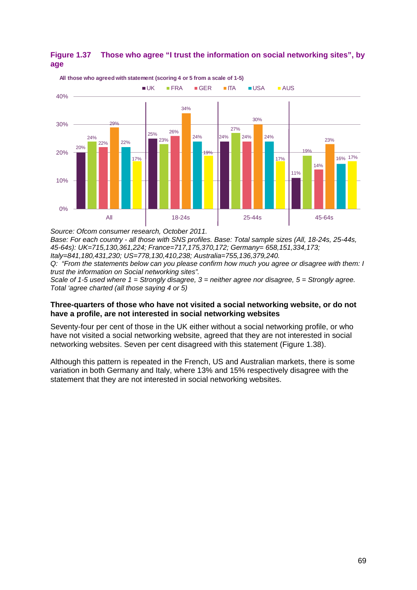

<span id="page-57-0"></span>

*Source: Ofcom consumer research, October 2011.* 

*Base: For each country - all those with SNS profiles. Base: Total sample sizes (All, 18-24s, 25-44s, 45-64s): UK=715,130,361,224; France=717,175,370,172; Germany= 658,151,334,173; Italy=841,180,431,230; US=778,130,410,238; Australia=755,136,379,240.*

*Q: "From the statements below can you please confirm how much you agree or disagree with them: I trust the information on Social networking sites".* 

*Scale of 1-5 used where 1 = Strongly disagree, 3 = neither agree nor disagree, 5 = Strongly agree. Total 'agree charted (all those saying 4 or 5)*

#### **Three-quarters of those who have not visited a social networking website, or do not have a profile, are not interested in social networking websites**

Seventy-four per cent of those in the UK either without a social networking profile, or who have not visited a social networking website, agreed that they are not interested in social networking websites. Seven per cent disagreed with this statement [\(Figure 1.38\)](#page-58-0).

Although this pattern is repeated in the French, US and Australian markets, there is some variation in both Germany and Italy, where 13% and 15% respectively disagree with the statement that they are not interested in social networking websites.